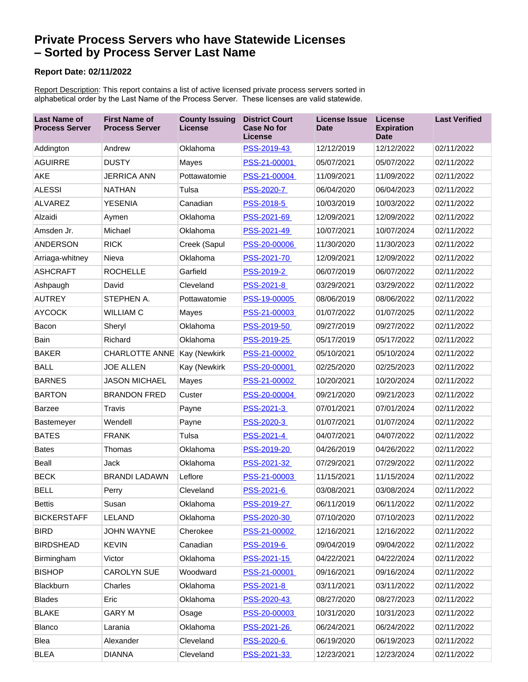## **Private Process Servers who have Statewide Licenses – Sorted by Process Server Last Name**

## **Report Date: 02/11/2022**

alphabetical order by the Last Name of the Process Server. These licenses are valid statewide. Report Description: This report contains a list of active licensed private process servers sorted in

| <b>Last Name of</b><br><b>Process Server</b> | <b>First Name of</b><br><b>Process Server</b> | <b>County Issuing</b><br><b>License</b> | <b>District Court</b><br><b>Case No for</b><br><b>License</b> | <b>License Issue</b><br><b>Date</b> | <b>License</b><br><b>Expiration</b><br><b>Date</b> | <b>Last Verified</b> |
|----------------------------------------------|-----------------------------------------------|-----------------------------------------|---------------------------------------------------------------|-------------------------------------|----------------------------------------------------|----------------------|
| Addington                                    | Andrew                                        | Oklahoma                                | PSS-2019-43                                                   | 12/12/2019                          | 12/12/2022                                         | 02/11/2022           |
| <b>AGUIRRE</b>                               | <b>DUSTY</b>                                  | Mayes                                   | PSS-21-00001                                                  | 05/07/2021                          | 05/07/2022                                         | 02/11/2022           |
| <b>AKE</b>                                   | <b>JERRICA ANN</b>                            | Pottawatomie                            | PSS-21-00004                                                  | 11/09/2021                          | 11/09/2022                                         | 02/11/2022           |
| <b>ALESSI</b>                                | <b>NATHAN</b>                                 | Tulsa                                   | PSS-2020-7                                                    | 06/04/2020                          | 06/04/2023                                         | 02/11/2022           |
| <b>ALVAREZ</b>                               | <b>YESENIA</b>                                | Canadian                                | PSS-2018-5                                                    | 10/03/2019                          | 10/03/2022                                         | 02/11/2022           |
| Alzaidi                                      | Aymen                                         | Oklahoma                                | PSS-2021-69                                                   | 12/09/2021                          | 12/09/2022                                         | 02/11/2022           |
| Amsden Jr.                                   | Michael                                       | Oklahoma                                | PSS-2021-49                                                   | 10/07/2021                          | 10/07/2024                                         | 02/11/2022           |
| <b>ANDERSON</b>                              | <b>RICK</b>                                   | Creek (Sapul                            | PSS-20-00006                                                  | 11/30/2020                          | 11/30/2023                                         | 02/11/2022           |
| Arriaga-whitney                              | Nieva                                         | Oklahoma                                | PSS-2021-70                                                   | 12/09/2021                          | 12/09/2022                                         | 02/11/2022           |
| <b>ASHCRAFT</b>                              | <b>ROCHELLE</b>                               | Garfield                                | PSS-2019-2                                                    | 06/07/2019                          | 06/07/2022                                         | 02/11/2022           |
| Ashpaugh                                     | David                                         | Cleveland                               | PSS-2021-8                                                    | 03/29/2021                          | 03/29/2022                                         | 02/11/2022           |
| <b>AUTREY</b>                                | STEPHEN A.                                    | Pottawatomie                            | PSS-19-00005                                                  | 08/06/2019                          | 08/06/2022                                         | 02/11/2022           |
| <b>AYCOCK</b>                                | <b>WILLIAM C</b>                              | Mayes                                   | PSS-21-00003                                                  | 01/07/2022                          | 01/07/2025                                         | 02/11/2022           |
| Bacon                                        | Sheryl                                        | Oklahoma                                | PSS-2019-50                                                   | 09/27/2019                          | 09/27/2022                                         | 02/11/2022           |
| Bain                                         | Richard                                       | Oklahoma                                | PSS-2019-25                                                   | 05/17/2019                          | 05/17/2022                                         | 02/11/2022           |
| <b>BAKER</b>                                 | <b>CHARLOTTE ANNE</b>                         | <b>Kay (Newkirk</b>                     | PSS-21-00002                                                  | 05/10/2021                          | 05/10/2024                                         | 02/11/2022           |
| <b>BALL</b>                                  | <b>JOE ALLEN</b>                              | Kay (Newkirk                            | PSS-20-00001                                                  | 02/25/2020                          | 02/25/2023                                         | 02/11/2022           |
| <b>BARNES</b>                                | <b>JASON MICHAEL</b>                          | Mayes                                   | PSS-21-00002                                                  | 10/20/2021                          | 10/20/2024                                         | 02/11/2022           |
| <b>BARTON</b>                                | <b>BRANDON FRED</b>                           | Custer                                  | PSS-20-00004                                                  | 09/21/2020                          | 09/21/2023                                         | 02/11/2022           |
| <b>Barzee</b>                                | Travis                                        | Payne                                   | PSS-2021-3                                                    | 07/01/2021                          | 07/01/2024                                         | 02/11/2022           |
| Bastemeyer                                   | Wendell                                       | Payne                                   | PSS-2020-3                                                    | 01/07/2021                          | 01/07/2024                                         | 02/11/2022           |
| <b>BATES</b>                                 | <b>FRANK</b>                                  | Tulsa                                   | PSS-2021-4                                                    | 04/07/2021                          | 04/07/2022                                         | 02/11/2022           |
| <b>Bates</b>                                 | Thomas                                        | Oklahoma                                | PSS-2019-20                                                   | 04/26/2019                          | 04/26/2022                                         | 02/11/2022           |
| Beall                                        | Jack                                          | Oklahoma                                | PSS-2021-32                                                   | 07/29/2021                          | 07/29/2022                                         | 02/11/2022           |
| <b>BECK</b>                                  | <b>BRANDI LADAWN</b>                          | Leflore                                 | PSS-21-00003                                                  | 11/15/2021                          | 11/15/2024                                         | 02/11/2022           |
| <b>BELL</b>                                  | Perry                                         | Cleveland                               | PSS-2021-6                                                    | 03/08/2021                          | 03/08/2024                                         | 02/11/2022           |
| <b>Bettis</b>                                | Susan                                         | Oklahoma                                | PSS-2019-27                                                   | 06/11/2019                          | 06/11/2022                                         | 02/11/2022           |
| <b>BICKERSTAFF</b>                           | LELAND                                        | Oklahoma                                | PSS-2020-30                                                   | 07/10/2020                          | 07/10/2023                                         | 02/11/2022           |
| <b>BIRD</b>                                  | <b>JOHN WAYNE</b>                             | Cherokee                                | PSS-21-00002                                                  | 12/16/2021                          | 12/16/2022                                         | 02/11/2022           |
| <b>BIRDSHEAD</b>                             | <b>KEVIN</b>                                  | Canadian                                | PSS-2019-6                                                    | 09/04/2019                          | 09/04/2022                                         | 02/11/2022           |
| Birmingham                                   | Victor                                        | Oklahoma                                | PSS-2021-15                                                   | 04/22/2021                          | 04/22/2024                                         | 02/11/2022           |
| <b>BISHOP</b>                                | <b>CAROLYN SUE</b>                            | Woodward                                | PSS-21-00001                                                  | 09/16/2021                          | 09/16/2024                                         | 02/11/2022           |
| <b>Blackburn</b>                             | Charles                                       | Oklahoma                                | PSS-2021-8                                                    | 03/11/2021                          | 03/11/2022                                         | 02/11/2022           |
| <b>Blades</b>                                | Eric                                          | Oklahoma                                | PSS-2020-43                                                   | 08/27/2020                          | 08/27/2023                                         | 02/11/2022           |
| <b>BLAKE</b>                                 | <b>GARY M</b>                                 | Osage                                   | PSS-20-00003                                                  | 10/31/2020                          | 10/31/2023                                         | 02/11/2022           |
| <b>Blanco</b>                                | Larania                                       | Oklahoma                                | PSS-2021-26                                                   | 06/24/2021                          | 06/24/2022                                         | 02/11/2022           |
| Blea                                         | Alexander                                     | Cleveland                               | PSS-2020-6                                                    | 06/19/2020                          | 06/19/2023                                         | 02/11/2022           |
| <b>BLEA</b>                                  | <b>DIANNA</b>                                 | Cleveland                               | PSS-2021-33                                                   | 12/23/2021                          | 12/23/2024                                         | 02/11/2022           |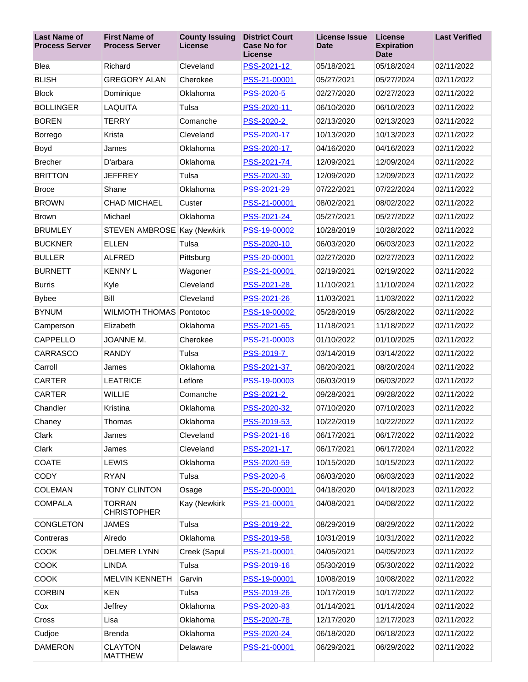| <b>Last Name of</b><br><b>Process Server</b> | <b>First Name of</b><br><b>Process Server</b> | <b>County Issuing</b><br><b>License</b> | <b>District Court</b><br><b>Case No for</b><br><b>License</b> | License Issue<br><b>Date</b> | <b>License</b><br><b>Expiration</b><br><b>Date</b> | <b>Last Verified</b> |
|----------------------------------------------|-----------------------------------------------|-----------------------------------------|---------------------------------------------------------------|------------------------------|----------------------------------------------------|----------------------|
| Blea                                         | Richard                                       | Cleveland                               | PSS-2021-12                                                   | 05/18/2021                   | 05/18/2024                                         | 02/11/2022           |
| <b>BLISH</b>                                 | <b>GREGORY ALAN</b>                           | Cherokee                                | PSS-21-00001                                                  | 05/27/2021                   | 05/27/2024                                         | 02/11/2022           |
| <b>Block</b>                                 | Dominique                                     | Oklahoma                                | PSS-2020-5                                                    | 02/27/2020                   | 02/27/2023                                         | 02/11/2022           |
| <b>BOLLINGER</b>                             | LAQUITA                                       | Tulsa                                   | PSS-2020-11                                                   | 06/10/2020                   | 06/10/2023                                         | 02/11/2022           |
| <b>BOREN</b>                                 | <b>TERRY</b>                                  | Comanche                                | PSS-2020-2                                                    | 02/13/2020                   | 02/13/2023                                         | 02/11/2022           |
| Borrego                                      | Krista                                        | Cleveland                               | PSS-2020-17                                                   | 10/13/2020                   | 10/13/2023                                         | 02/11/2022           |
| Boyd                                         | James                                         | Oklahoma                                | PSS-2020-17                                                   | 04/16/2020                   | 04/16/2023                                         | 02/11/2022           |
| <b>Brecher</b>                               | D'arbara                                      | Oklahoma                                | PSS-2021-74                                                   | 12/09/2021                   | 12/09/2024                                         | 02/11/2022           |
| <b>BRITTON</b>                               | <b>JEFFREY</b>                                | Tulsa                                   | PSS-2020-30                                                   | 12/09/2020                   | 12/09/2023                                         | 02/11/2022           |
| <b>Broce</b>                                 | Shane                                         | Oklahoma                                | PSS-2021-29                                                   | 07/22/2021                   | 07/22/2024                                         | 02/11/2022           |
| <b>BROWN</b>                                 | <b>CHAD MICHAEL</b>                           | Custer                                  | PSS-21-00001                                                  | 08/02/2021                   | 08/02/2022                                         | 02/11/2022           |
| <b>Brown</b>                                 | Michael                                       | Oklahoma                                | PSS-2021-24                                                   | 05/27/2021                   | 05/27/2022                                         | 02/11/2022           |
| <b>BRUMLEY</b>                               | STEVEN AMBROSE Kay (Newkirk                   |                                         | PSS-19-00002                                                  | 10/28/2019                   | 10/28/2022                                         | 02/11/2022           |
| <b>BUCKNER</b>                               | <b>ELLEN</b>                                  | Tulsa                                   | PSS-2020-10                                                   | 06/03/2020                   | 06/03/2023                                         | 02/11/2022           |
| <b>BULLER</b>                                | <b>ALFRED</b>                                 | Pittsburg                               | PSS-20-00001                                                  | 02/27/2020                   | 02/27/2023                                         | 02/11/2022           |
| <b>BURNETT</b>                               | <b>KENNY L</b>                                | Wagoner                                 | PSS-21-00001                                                  | 02/19/2021                   | 02/19/2022                                         | 02/11/2022           |
| <b>Burris</b>                                | Kyle                                          | Cleveland                               | PSS-2021-28                                                   | 11/10/2021                   | 11/10/2024                                         | 02/11/2022           |
| <b>Bybee</b>                                 | Bill                                          | Cleveland                               | PSS-2021-26                                                   | 11/03/2021                   | 11/03/2022                                         | 02/11/2022           |
| <b>BYNUM</b>                                 | <b>WILMOTH THOMAS Pontotoc</b>                |                                         | PSS-19-00002                                                  | 05/28/2019                   | 05/28/2022                                         | 02/11/2022           |
| Camperson                                    | Elizabeth                                     | Oklahoma                                | PSS-2021-65                                                   | 11/18/2021                   | 11/18/2022                                         | 02/11/2022           |
| CAPPELLO                                     | JOANNE M.                                     | Cherokee                                | PSS-21-00003                                                  | 01/10/2022                   | 01/10/2025                                         | 02/11/2022           |
| CARRASCO                                     | <b>RANDY</b>                                  | Tulsa                                   | PSS-2019-7                                                    | 03/14/2019                   | 03/14/2022                                         | 02/11/2022           |
| Carroll                                      | James                                         | Oklahoma                                | PSS-2021-37                                                   | 08/20/2021                   | 08/20/2024                                         | 02/11/2022           |
| <b>CARTER</b>                                | <b>LEATRICE</b>                               | Leflore                                 | PSS-19-00003                                                  | 06/03/2019                   | 06/03/2022                                         | 02/11/2022           |
| <b>CARTER</b>                                | <b>WILLIE</b>                                 | Comanche                                | PSS-2021-2                                                    | 09/28/2021                   | 09/28/2022                                         | 02/11/2022           |
| Chandler                                     | Kristina                                      | Oklahoma                                | PSS-2020-32                                                   | 07/10/2020                   | 07/10/2023                                         | 02/11/2022           |
| Chaney                                       | Thomas                                        | Oklahoma                                | PSS-2019-53                                                   | 10/22/2019                   | 10/22/2022                                         | 02/11/2022           |
| Clark                                        | James                                         | Cleveland                               | PSS-2021-16                                                   | 06/17/2021                   | 06/17/2022                                         | 02/11/2022           |
| Clark                                        | James                                         | Cleveland                               | PSS-2021-17                                                   | 06/17/2021                   | 06/17/2024                                         | 02/11/2022           |
| COATE                                        | <b>LEWIS</b>                                  | Oklahoma                                | PSS-2020-59                                                   | 10/15/2020                   | 10/15/2023                                         | 02/11/2022           |
| <b>CODY</b>                                  | <b>RYAN</b>                                   | Tulsa                                   | PSS-2020-6                                                    | 06/03/2020                   | 06/03/2023                                         | 02/11/2022           |
| <b>COLEMAN</b>                               | <b>TONY CLINTON</b>                           | Osage                                   | PSS-20-00001                                                  | 04/18/2020                   | 04/18/2023                                         | 02/11/2022           |
| <b>COMPALA</b>                               | <b>TORRAN</b><br><b>CHRISTOPHER</b>           | Kay (Newkirk                            | PSS-21-00001                                                  | 04/08/2021                   | 04/08/2022                                         | 02/11/2022           |
| <b>CONGLETON</b>                             | <b>JAMES</b>                                  | Tulsa                                   | PSS-2019-22                                                   | 08/29/2019                   | 08/29/2022                                         | 02/11/2022           |
| Contreras                                    | Alredo                                        | Oklahoma                                | PSS-2019-58                                                   | 10/31/2019                   | 10/31/2022                                         | 02/11/2022           |
| <b>COOK</b>                                  | <b>DELMER LYNN</b>                            | Creek (Sapul                            | PSS-21-00001                                                  | 04/05/2021                   | 04/05/2023                                         | 02/11/2022           |
| COOK                                         | <b>LINDA</b>                                  | Tulsa                                   | PSS-2019-16                                                   | 05/30/2019                   | 05/30/2022                                         | 02/11/2022           |
| <b>COOK</b>                                  | MELVIN KENNETH                                | Garvin                                  | PSS-19-00001                                                  | 10/08/2019                   | 10/08/2022                                         | 02/11/2022           |
| <b>CORBIN</b>                                | <b>KEN</b>                                    | Tulsa                                   | PSS-2019-26                                                   | 10/17/2019                   | 10/17/2022                                         | 02/11/2022           |
| Cox                                          | Jeffrey                                       | Oklahoma                                | PSS-2020-83                                                   | 01/14/2021                   | 01/14/2024                                         | 02/11/2022           |
| Cross                                        | Lisa                                          | Oklahoma                                | PSS-2020-78                                                   | 12/17/2020                   | 12/17/2023                                         | 02/11/2022           |
| Cudjoe                                       | <b>Brenda</b>                                 | Oklahoma                                | PSS-2020-24                                                   | 06/18/2020                   | 06/18/2023                                         | 02/11/2022           |
| <b>DAMERON</b>                               | <b>CLAYTON</b><br><b>MATTHEW</b>              | Delaware                                | PSS-21-00001                                                  | 06/29/2021                   | 06/29/2022                                         | 02/11/2022           |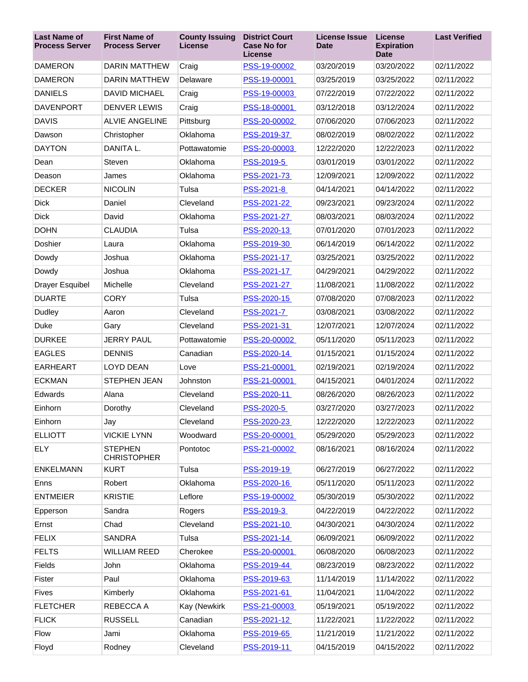| <b>Last Name of</b><br><b>Process Server</b> | <b>First Name of</b><br><b>Process Server</b> | <b>County Issuing</b><br>License | <b>District Court</b><br><b>Case No for</b><br>License | <b>License Issue</b><br><b>Date</b> | License<br><b>Expiration</b><br><b>Date</b> | <b>Last Verified</b> |
|----------------------------------------------|-----------------------------------------------|----------------------------------|--------------------------------------------------------|-------------------------------------|---------------------------------------------|----------------------|
| <b>DAMERON</b>                               | <b>DARIN MATTHEW</b>                          | Craig                            | PSS-19-00002                                           | 03/20/2019                          | 03/20/2022                                  | 02/11/2022           |
| <b>DAMERON</b>                               | <b>DARIN MATTHEW</b>                          | Delaware                         | PSS-19-00001                                           | 03/25/2019                          | 03/25/2022                                  | 02/11/2022           |
| <b>DANIELS</b>                               | <b>DAVID MICHAEL</b>                          | Craig                            | PSS-19-00003                                           | 07/22/2019                          | 07/22/2022                                  | 02/11/2022           |
| <b>DAVENPORT</b>                             | <b>DENVER LEWIS</b>                           | Craig                            | PSS-18-00001                                           | 03/12/2018                          | 03/12/2024                                  | 02/11/2022           |
| <b>DAVIS</b>                                 | <b>ALVIE ANGELINE</b>                         | Pittsburg                        | PSS-20-00002                                           | 07/06/2020                          | 07/06/2023                                  | 02/11/2022           |
| Dawson                                       | Christopher                                   | Oklahoma                         | PSS-2019-37                                            | 08/02/2019                          | 08/02/2022                                  | 02/11/2022           |
| <b>DAYTON</b>                                | DANITA L.                                     | Pottawatomie                     | PSS-20-00003                                           | 12/22/2020                          | 12/22/2023                                  | 02/11/2022           |
| Dean                                         | Steven                                        | Oklahoma                         | PSS-2019-5                                             | 03/01/2019                          | 03/01/2022                                  | 02/11/2022           |
| Deason                                       | James                                         | Oklahoma                         | PSS-2021-73                                            | 12/09/2021                          | 12/09/2022                                  | 02/11/2022           |
| <b>DECKER</b>                                | <b>NICOLIN</b>                                | Tulsa                            | PSS-2021-8                                             | 04/14/2021                          | 04/14/2022                                  | 02/11/2022           |
| <b>Dick</b>                                  | Daniel                                        | Cleveland                        | PSS-2021-22                                            | 09/23/2021                          | 09/23/2024                                  | 02/11/2022           |
| <b>Dick</b>                                  | David                                         | Oklahoma                         | PSS-2021-27                                            | 08/03/2021                          | 08/03/2024                                  | 02/11/2022           |
| <b>DOHN</b>                                  | <b>CLAUDIA</b>                                | Tulsa                            | PSS-2020-13                                            | 07/01/2020                          | 07/01/2023                                  | 02/11/2022           |
| Doshier                                      | Laura                                         | Oklahoma                         | PSS-2019-30                                            | 06/14/2019                          | 06/14/2022                                  | 02/11/2022           |
| Dowdy                                        | Joshua                                        | Oklahoma                         | PSS-2021-17                                            | 03/25/2021                          | 03/25/2022                                  | 02/11/2022           |
| Dowdy                                        | Joshua                                        | Oklahoma                         | PSS-2021-17                                            | 04/29/2021                          | 04/29/2022                                  | 02/11/2022           |
| <b>Drayer Esquibel</b>                       | Michelle                                      | Cleveland                        | PSS-2021-27                                            | 11/08/2021                          | 11/08/2022                                  | 02/11/2022           |
| <b>DUARTE</b>                                | <b>CORY</b>                                   | Tulsa                            | PSS-2020-15                                            | 07/08/2020                          | 07/08/2023                                  | 02/11/2022           |
| Dudley                                       | Aaron                                         | Cleveland                        | PSS-2021-7                                             | 03/08/2021                          | 03/08/2022                                  | 02/11/2022           |
| Duke                                         | Gary                                          | Cleveland                        | PSS-2021-31                                            | 12/07/2021                          | 12/07/2024                                  | 02/11/2022           |
| <b>DURKEE</b>                                | <b>JERRY PAUL</b>                             | Pottawatomie                     | PSS-20-00002                                           | 05/11/2020                          | 05/11/2023                                  | 02/11/2022           |
| <b>EAGLES</b>                                | <b>DENNIS</b>                                 | Canadian                         | PSS-2020-14                                            | 01/15/2021                          | 01/15/2024                                  | 02/11/2022           |
| <b>EARHEART</b>                              | <b>LOYD DEAN</b>                              | Love                             | PSS-21-00001                                           | 02/19/2021                          | 02/19/2024                                  | 02/11/2022           |
| <b>ECKMAN</b>                                | STEPHEN JEAN                                  | Johnston                         | PSS-21-00001                                           | 04/15/2021                          | 04/01/2024                                  | 02/11/2022           |
| Edwards                                      | Alana                                         | Cleveland                        | PSS-2020-11                                            | 08/26/2020                          | 08/26/2023                                  | 02/11/2022           |
| Einhorn                                      | Dorothy                                       | Cleveland                        | PSS-2020-5                                             | 03/27/2020                          | 03/27/2023                                  | 02/11/2022           |
| Einhorn                                      | Jay                                           | Cleveland                        | PSS-2020-23                                            | 12/22/2020                          | 12/22/2023                                  | 02/11/2022           |
| <b>ELLIOTT</b>                               | <b>VICKIE LYNN</b>                            | Woodward                         | PSS-20-00001                                           | 05/29/2020                          | 05/29/2023                                  | 02/11/2022           |
| <b>ELY</b>                                   | <b>STEPHEN</b><br><b>CHRISTOPHER</b>          | Pontotoc                         | PSS-21-00002                                           | 08/16/2021                          | 08/16/2024                                  | 02/11/2022           |
| <b>ENKELMANN</b>                             | <b>KURT</b>                                   | Tulsa                            | PSS-2019-19                                            | 06/27/2019                          | 06/27/2022                                  | 02/11/2022           |
| Enns                                         | Robert                                        | Oklahoma                         | PSS-2020-16                                            | 05/11/2020                          | 05/11/2023                                  | 02/11/2022           |
| <b>ENTMEIER</b>                              | <b>KRISTIE</b>                                | Leflore                          | PSS-19-00002                                           | 05/30/2019                          | 05/30/2022                                  | 02/11/2022           |
| Epperson                                     | Sandra                                        | Rogers                           | PSS-2019-3                                             | 04/22/2019                          | 04/22/2022                                  | 02/11/2022           |
| Ernst                                        | Chad                                          | Cleveland                        | PSS-2021-10                                            | 04/30/2021                          | 04/30/2024                                  | 02/11/2022           |
| <b>FELIX</b>                                 | <b>SANDRA</b>                                 | Tulsa                            | PSS-2021-14                                            | 06/09/2021                          | 06/09/2022                                  | 02/11/2022           |
| <b>FELTS</b>                                 | <b>WILLIAM REED</b>                           | Cherokee                         | PSS-20-00001                                           | 06/08/2020                          | 06/08/2023                                  | 02/11/2022           |
| Fields                                       | John                                          | Oklahoma                         | PSS-2019-44                                            | 08/23/2019                          | 08/23/2022                                  | 02/11/2022           |
| Fister                                       | Paul                                          | Oklahoma                         | PSS-2019-63                                            | 11/14/2019                          | 11/14/2022                                  | 02/11/2022           |
| <b>Fives</b>                                 | Kimberly                                      | Oklahoma                         | PSS-2021-61                                            | 11/04/2021                          | 11/04/2022                                  | 02/11/2022           |
| <b>FLETCHER</b>                              | REBECCA A                                     | Kay (Newkirk                     | PSS-21-00003                                           | 05/19/2021                          | 05/19/2022                                  | 02/11/2022           |
| <b>FLICK</b>                                 | <b>RUSSELL</b>                                | Canadian                         | PSS-2021-12                                            | 11/22/2021                          | 11/22/2022                                  | 02/11/2022           |
| Flow                                         | Jami                                          | Oklahoma                         | PSS-2019-65                                            | 11/21/2019                          | 11/21/2022                                  | 02/11/2022           |
| Floyd                                        | Rodney                                        | Cleveland                        | PSS-2019-11                                            | 04/15/2019                          | 04/15/2022                                  | 02/11/2022           |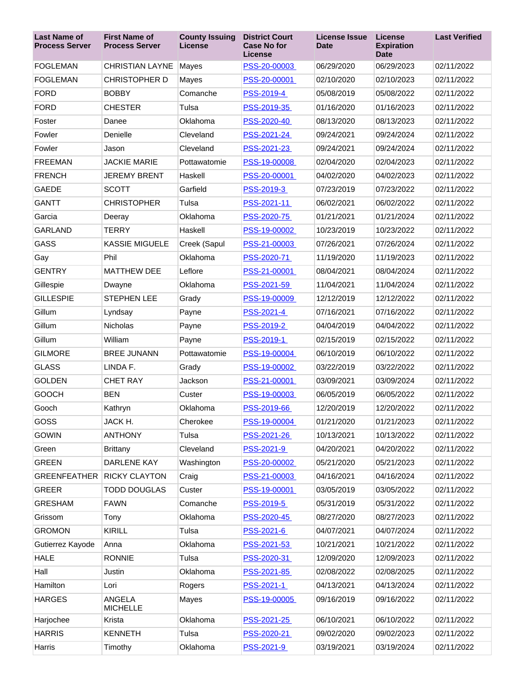| <b>Last Name of</b><br><b>Process Server</b> | <b>First Name of</b><br><b>Process Server</b> | <b>County Issuing</b><br>License | <b>District Court</b><br><b>Case No for</b><br>License | <b>License Issue</b><br><b>Date</b> | License<br><b>Expiration</b><br><b>Date</b> | <b>Last Verified</b> |
|----------------------------------------------|-----------------------------------------------|----------------------------------|--------------------------------------------------------|-------------------------------------|---------------------------------------------|----------------------|
| <b>FOGLEMAN</b>                              | <b>CHRISTIAN LAYNE</b>                        | Mayes                            | PSS-20-00003                                           | 06/29/2020                          | 06/29/2023                                  | 02/11/2022           |
| <b>FOGLEMAN</b>                              | <b>CHRISTOPHER D</b>                          | Mayes                            | PSS-20-00001                                           | 02/10/2020                          | 02/10/2023                                  | 02/11/2022           |
| <b>FORD</b>                                  | <b>BOBBY</b>                                  | Comanche                         | PSS-2019-4                                             | 05/08/2019                          | 05/08/2022                                  | 02/11/2022           |
| <b>FORD</b>                                  | <b>CHESTER</b>                                | Tulsa                            | PSS-2019-35                                            | 01/16/2020                          | 01/16/2023                                  | 02/11/2022           |
| Foster                                       | Danee                                         | Oklahoma                         | PSS-2020-40                                            | 08/13/2020                          | 08/13/2023                                  | 02/11/2022           |
| Fowler                                       | Denielle                                      | Cleveland                        | PSS-2021-24                                            | 09/24/2021                          | 09/24/2024                                  | 02/11/2022           |
| Fowler                                       | Jason                                         | Cleveland                        | PSS-2021-23                                            | 09/24/2021                          | 09/24/2024                                  | 02/11/2022           |
| <b>FREEMAN</b>                               | <b>JACKIE MARIE</b>                           | Pottawatomie                     | PSS-19-00008                                           | 02/04/2020                          | 02/04/2023                                  | 02/11/2022           |
| <b>FRENCH</b>                                | <b>JEREMY BRENT</b>                           | Haskell                          | PSS-20-00001                                           | 04/02/2020                          | 04/02/2023                                  | 02/11/2022           |
| <b>GAEDE</b>                                 | <b>SCOTT</b>                                  | Garfield                         | PSS-2019-3                                             | 07/23/2019                          | 07/23/2022                                  | 02/11/2022           |
| <b>GANTT</b>                                 | <b>CHRISTOPHER</b>                            | Tulsa                            | PSS-2021-11                                            | 06/02/2021                          | 06/02/2022                                  | 02/11/2022           |
| Garcia                                       | Deeray                                        | Oklahoma                         | PSS-2020-75                                            | 01/21/2021                          | 01/21/2024                                  | 02/11/2022           |
| <b>GARLAND</b>                               | <b>TERRY</b>                                  | Haskell                          | PSS-19-00002                                           | 10/23/2019                          | 10/23/2022                                  | 02/11/2022           |
| GASS                                         | <b>KASSIE MIGUELE</b>                         | Creek (Sapul                     | PSS-21-00003                                           | 07/26/2021                          | 07/26/2024                                  | 02/11/2022           |
| Gay                                          | Phil                                          | Oklahoma                         | PSS-2020-71                                            | 11/19/2020                          | 11/19/2023                                  | 02/11/2022           |
| <b>GENTRY</b>                                | <b>MATTHEW DEE</b>                            | Leflore                          | PSS-21-00001                                           | 08/04/2021                          | 08/04/2024                                  | 02/11/2022           |
| Gillespie                                    | Dwayne                                        | Oklahoma                         | PSS-2021-59                                            | 11/04/2021                          | 11/04/2024                                  | 02/11/2022           |
| <b>GILLESPIE</b>                             | <b>STEPHEN LEE</b>                            | Grady                            | PSS-19-00009                                           | 12/12/2019                          | 12/12/2022                                  | 02/11/2022           |
| Gillum                                       | Lyndsay                                       | Payne                            | PSS-2021-4                                             | 07/16/2021                          | 07/16/2022                                  | 02/11/2022           |
| Gillum                                       | <b>Nicholas</b>                               | Payne                            | PSS-2019-2                                             | 04/04/2019                          | 04/04/2022                                  | 02/11/2022           |
| Gillum                                       | William                                       | Payne                            | PSS-2019-1                                             | 02/15/2019                          | 02/15/2022                                  | 02/11/2022           |
| <b>GILMORE</b>                               | <b>BREE JUNANN</b>                            | Pottawatomie                     | PSS-19-00004                                           | 06/10/2019                          | 06/10/2022                                  | 02/11/2022           |
| <b>GLASS</b>                                 | LINDA F.                                      | Grady                            | PSS-19-00002                                           | 03/22/2019                          | 03/22/2022                                  | 02/11/2022           |
| <b>GOLDEN</b>                                | <b>CHET RAY</b>                               | Jackson                          | PSS-21-00001                                           | 03/09/2021                          | 03/09/2024                                  | 02/11/2022           |
| <b>GOOCH</b>                                 | <b>BEN</b>                                    | Custer                           | PSS-19-00003                                           | 06/05/2019                          | 06/05/2022                                  | 02/11/2022           |
| Gooch                                        | Kathryn                                       | Oklahoma                         | PSS-2019-66                                            | 12/20/2019                          | 12/20/2022                                  | 02/11/2022           |
| GOSS                                         | JACK H.                                       | Cherokee                         | PSS-19-00004                                           | 01/21/2020                          | 01/21/2023                                  | 02/11/2022           |
| <b>GOWIN</b>                                 | <b>ANTHONY</b>                                | Tulsa                            | PSS-2021-26                                            | 10/13/2021                          | 10/13/2022                                  | 02/11/2022           |
| Green                                        | <b>Brittany</b>                               | Cleveland                        | PSS-2021-9                                             | 04/20/2021                          | 04/20/2022                                  | 02/11/2022           |
| <b>GREEN</b>                                 | DARLENE KAY                                   | Washington                       | PSS-20-00002                                           | 05/21/2020                          | 05/21/2023                                  | 02/11/2022           |
| <b>GREENFEATHER</b>                          | <b>RICKY CLAYTON</b>                          | Craig                            | PSS-21-00003                                           | 04/16/2021                          | 04/16/2024                                  | 02/11/2022           |
| <b>GREER</b>                                 | <b>TODD DOUGLAS</b>                           | Custer                           | PSS-19-00001                                           | 03/05/2019                          | 03/05/2022                                  | 02/11/2022           |
| <b>GRESHAM</b>                               | <b>FAWN</b>                                   | Comanche                         | PSS-2019-5                                             | 05/31/2019                          | 05/31/2022                                  | 02/11/2022           |
| Grissom                                      | Tony                                          | Oklahoma                         | PSS-2020-45                                            | 08/27/2020                          | 08/27/2023                                  | 02/11/2022           |
| <b>GROMON</b>                                | <b>KIRILL</b>                                 | Tulsa                            | PSS-2021-6                                             | 04/07/2021                          | 04/07/2024                                  | 02/11/2022           |
| Gutierrez Kayode                             | Anna                                          | Oklahoma                         | PSS-2021-53                                            | 10/21/2021                          | 10/21/2022                                  | 02/11/2022           |
| <b>HALE</b>                                  | <b>RONNIE</b>                                 | Tulsa                            | PSS-2020-31                                            | 12/09/2020                          | 12/09/2023                                  | 02/11/2022           |
| Hall                                         | Justin                                        | Oklahoma                         | PSS-2021-85                                            | 02/08/2022                          | 02/08/2025                                  | 02/11/2022           |
| Hamilton                                     | Lori                                          | Rogers                           | PSS-2021-1                                             | 04/13/2021                          | 04/13/2024                                  | 02/11/2022           |
| <b>HARGES</b>                                | ANGELA<br><b>MICHELLE</b>                     | Mayes                            | PSS-19-00005                                           | 09/16/2019                          | 09/16/2022                                  | 02/11/2022           |
| Harjochee                                    | Krista                                        | Oklahoma                         | PSS-2021-25                                            | 06/10/2021                          | 06/10/2022                                  | 02/11/2022           |
| <b>HARRIS</b>                                | <b>KENNETH</b>                                | Tulsa                            | PSS-2020-21                                            | 09/02/2020                          | 09/02/2023                                  | 02/11/2022           |
| Harris                                       | Timothy                                       | Oklahoma                         | PSS-2021-9                                             | 03/19/2021                          | 03/19/2024                                  | 02/11/2022           |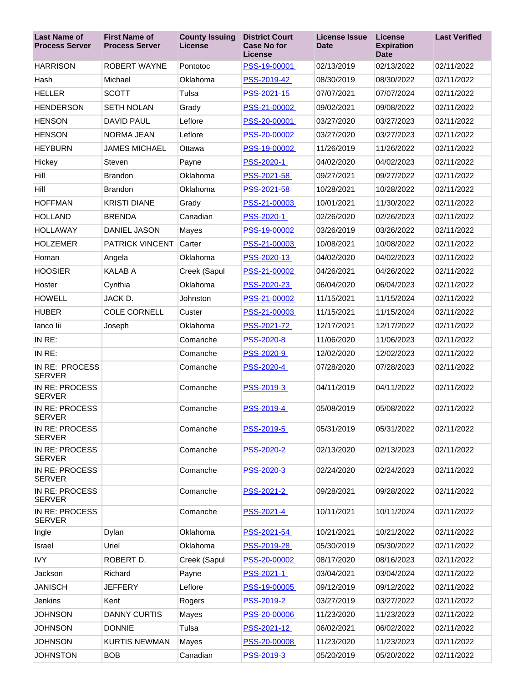| <b>Last Name of</b><br><b>Process Server</b> | <b>First Name of</b><br><b>Process Server</b> | <b>County Issuing</b><br><b>License</b> | <b>District Court</b><br><b>Case No for</b><br>License | <b>License Issue</b><br>Date | <b>License</b><br><b>Expiration</b><br><b>Date</b> | <b>Last Verified</b> |
|----------------------------------------------|-----------------------------------------------|-----------------------------------------|--------------------------------------------------------|------------------------------|----------------------------------------------------|----------------------|
| <b>HARRISON</b>                              | <b>ROBERT WAYNE</b>                           | Pontotoc                                | PSS-19-00001                                           | 02/13/2019                   | 02/13/2022                                         | 02/11/2022           |
| Hash                                         | Michael                                       | Oklahoma                                | PSS-2019-42                                            | 08/30/2019                   | 08/30/2022                                         | 02/11/2022           |
| <b>HELLER</b>                                | <b>SCOTT</b>                                  | Tulsa                                   | PSS-2021-15                                            | 07/07/2021                   | 07/07/2024                                         | 02/11/2022           |
| <b>HENDERSON</b>                             | <b>SETH NOLAN</b>                             | Grady                                   | PSS-21-00002                                           | 09/02/2021                   | 09/08/2022                                         | 02/11/2022           |
| <b>HENSON</b>                                | <b>DAVID PAUL</b>                             | Leflore                                 | PSS-20-00001                                           | 03/27/2020                   | 03/27/2023                                         | 02/11/2022           |
| <b>HENSON</b>                                | NORMA JEAN                                    | Leflore                                 | PSS-20-00002                                           | 03/27/2020                   | 03/27/2023                                         | 02/11/2022           |
| <b>HEYBURN</b>                               | <b>JAMES MICHAEL</b>                          | Ottawa                                  | PSS-19-00002                                           | 11/26/2019                   | 11/26/2022                                         | 02/11/2022           |
| Hickey                                       | Steven                                        | Payne                                   | PSS-2020-1                                             | 04/02/2020                   | 04/02/2023                                         | 02/11/2022           |
| Hill                                         | <b>Brandon</b>                                | Oklahoma                                | PSS-2021-58                                            | 09/27/2021                   | 09/27/2022                                         | 02/11/2022           |
| Hill                                         | <b>Brandon</b>                                | Oklahoma                                | PSS-2021-58                                            | 10/28/2021                   | 10/28/2022                                         | 02/11/2022           |
| <b>HOFFMAN</b>                               | <b>KRISTI DIANE</b>                           | Grady                                   | PSS-21-00003                                           | 10/01/2021                   | 11/30/2022                                         | 02/11/2022           |
| <b>HOLLAND</b>                               | <b>BRENDA</b>                                 | Canadian                                | PSS-2020-1                                             | 02/26/2020                   | 02/26/2023                                         | 02/11/2022           |
| <b>HOLLAWAY</b>                              | DANIEL JASON                                  | Mayes                                   | PSS-19-00002                                           | 03/26/2019                   | 03/26/2022                                         | 02/11/2022           |
| <b>HOLZEMER</b>                              | <b>PATRICK VINCENT</b>                        | Carter                                  | PSS-21-00003                                           | 10/08/2021                   | 10/08/2022                                         | 02/11/2022           |
| Homan                                        | Angela                                        | Oklahoma                                | PSS-2020-13                                            | 04/02/2020                   | 04/02/2023                                         | 02/11/2022           |
| <b>HOOSIER</b>                               | <b>KALAB A</b>                                | Creek (Sapul                            | PSS-21-00002                                           | 04/26/2021                   | 04/26/2022                                         | 02/11/2022           |
| Hoster                                       | Cynthia                                       | Oklahoma                                | PSS-2020-23                                            | 06/04/2020                   | 06/04/2023                                         | 02/11/2022           |
| <b>HOWELL</b>                                | JACK D.                                       | Johnston                                | PSS-21-00002                                           | 11/15/2021                   | 11/15/2024                                         | 02/11/2022           |
| <b>HUBER</b>                                 | <b>COLE CORNELL</b>                           | Custer                                  | PSS-21-00003                                           | 11/15/2021                   | 11/15/2024                                         | 02/11/2022           |
| lanco lii                                    | Joseph                                        | Oklahoma                                | PSS-2021-72                                            | 12/17/2021                   | 12/17/2022                                         | 02/11/2022           |
| IN RE:                                       |                                               | Comanche                                | PSS-2020-8                                             | 11/06/2020                   | 11/06/2023                                         | 02/11/2022           |
| IN RE:                                       |                                               | Comanche                                | PSS-2020-9                                             | 12/02/2020                   | 12/02/2023                                         | 02/11/2022           |
| IN RE: PROCESS<br><b>SERVER</b>              |                                               | Comanche                                | PSS-2020-4                                             | 07/28/2020                   | 07/28/2023                                         | 02/11/2022           |
| IN RE: PROCESS<br><b>SERVER</b>              |                                               | Comanche                                | PSS-2019-3                                             | 04/11/2019                   | 04/11/2022                                         | 02/11/2022           |
| IN RE: PROCESS<br><b>SERVER</b>              |                                               | Comanche                                | PSS-2019-4                                             | 05/08/2019                   | 05/08/2022                                         | 02/11/2022           |
| IN RE: PROCESS<br><b>SERVER</b>              |                                               | Comanche                                | <b>PSS-2019-5</b>                                      | 05/31/2019                   | 05/31/2022                                         | 02/11/2022           |
| IN RE: PROCESS<br><b>SERVER</b>              |                                               | Comanche                                | PSS-2020-2                                             | 02/13/2020                   | 02/13/2023                                         | 02/11/2022           |
| IN RE: PROCESS<br><b>SERVER</b>              |                                               | Comanche                                | PSS-2020-3                                             | 02/24/2020                   | 02/24/2023                                         | 02/11/2022           |
| IN RE: PROCESS<br><b>SERVER</b>              |                                               | Comanche                                | PSS-2021-2                                             | 09/28/2021                   | 09/28/2022                                         | 02/11/2022           |
| IN RE: PROCESS<br><b>SERVER</b>              |                                               | Comanche                                | PSS-2021-4                                             | 10/11/2021                   | 10/11/2024                                         | 02/11/2022           |
| Ingle                                        | Dylan                                         | Oklahoma                                | PSS-2021-54                                            | 10/21/2021                   | 10/21/2022                                         | 02/11/2022           |
| Israel                                       | Uriel                                         | Oklahoma                                | PSS-2019-28                                            | 05/30/2019                   | 05/30/2022                                         | 02/11/2022           |
| <b>IVY</b>                                   | ROBERT D.                                     | Creek (Sapul                            | PSS-20-00002                                           | 08/17/2020                   | 08/16/2023                                         | 02/11/2022           |
| Jackson                                      | Richard                                       | Payne                                   | PSS-2021-1                                             | 03/04/2021                   | 03/04/2024                                         | 02/11/2022           |
| <b>JANISCH</b>                               | <b>JEFFERY</b>                                | Leflore                                 | PSS-19-00005                                           | 09/12/2019                   | 09/12/2022                                         | 02/11/2022           |
| Jenkins                                      | Kent                                          | Rogers                                  | PSS-2019-2                                             | 03/27/2019                   | 03/27/2022                                         | 02/11/2022           |
| <b>JOHNSON</b>                               | <b>DANNY CURTIS</b>                           | Mayes                                   | PSS-20-00006                                           | 11/23/2020                   | 11/23/2023                                         | 02/11/2022           |
| <b>JOHNSON</b>                               | <b>DONNIE</b>                                 | Tulsa                                   | PSS-2021-12                                            | 06/02/2021                   | 06/02/2022                                         | 02/11/2022           |
| <b>JOHNSON</b>                               | <b>KURTIS NEWMAN</b>                          | Mayes                                   | PSS-20-00008                                           | 11/23/2020                   | 11/23/2023                                         | 02/11/2022           |
| <b>JOHNSTON</b>                              | <b>BOB</b>                                    | Canadian                                | PSS-2019-3                                             | 05/20/2019                   | 05/20/2022                                         | 02/11/2022           |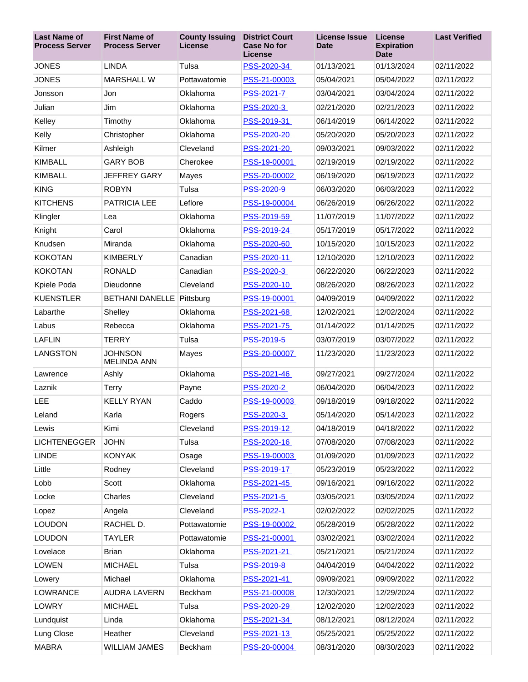| <b>Last Name of</b><br><b>Process Server</b> | <b>First Name of</b><br><b>Process Server</b> | <b>County Issuing</b><br><b>License</b> | <b>District Court</b><br><b>Case No for</b><br><b>License</b> | <b>License Issue</b><br><b>Date</b> | <b>License</b><br><b>Expiration</b><br><b>Date</b> | <b>Last Verified</b> |
|----------------------------------------------|-----------------------------------------------|-----------------------------------------|---------------------------------------------------------------|-------------------------------------|----------------------------------------------------|----------------------|
| <b>JONES</b>                                 | <b>LINDA</b>                                  | Tulsa                                   | PSS-2020-34                                                   | 01/13/2021                          | 01/13/2024                                         | 02/11/2022           |
| <b>JONES</b>                                 | <b>MARSHALL W</b>                             | Pottawatomie                            | PSS-21-00003                                                  | 05/04/2021                          | 05/04/2022                                         | 02/11/2022           |
| Jonsson                                      | Jon                                           | Oklahoma                                | PSS-2021-7                                                    | 03/04/2021                          | 03/04/2024                                         | 02/11/2022           |
| Julian                                       | Jim                                           | Oklahoma                                | PSS-2020-3                                                    | 02/21/2020                          | 02/21/2023                                         | 02/11/2022           |
| Kelley                                       | Timothy                                       | Oklahoma                                | PSS-2019-31                                                   | 06/14/2019                          | 06/14/2022                                         | 02/11/2022           |
| Kelly                                        | Christopher                                   | Oklahoma                                | PSS-2020-20                                                   | 05/20/2020                          | 05/20/2023                                         | 02/11/2022           |
| Kilmer                                       | Ashleigh                                      | Cleveland                               | PSS-2021-20                                                   | 09/03/2021                          | 09/03/2022                                         | 02/11/2022           |
| <b>KIMBALL</b>                               | <b>GARY BOB</b>                               | Cherokee                                | PSS-19-00001                                                  | 02/19/2019                          | 02/19/2022                                         | 02/11/2022           |
| <b>KIMBALL</b>                               | <b>JEFFREY GARY</b>                           | Mayes                                   | PSS-20-00002                                                  | 06/19/2020                          | 06/19/2023                                         | 02/11/2022           |
| <b>KING</b>                                  | <b>ROBYN</b>                                  | Tulsa                                   | PSS-2020-9                                                    | 06/03/2020                          | 06/03/2023                                         | 02/11/2022           |
| <b>KITCHENS</b>                              | <b>PATRICIA LEE</b>                           | Leflore                                 | PSS-19-00004                                                  | 06/26/2019                          | 06/26/2022                                         | 02/11/2022           |
| Klingler                                     | Lea                                           | Oklahoma                                | PSS-2019-59                                                   | 11/07/2019                          | 11/07/2022                                         | 02/11/2022           |
| Knight                                       | Carol                                         | Oklahoma                                | PSS-2019-24                                                   | 05/17/2019                          | 05/17/2022                                         | 02/11/2022           |
| Knudsen                                      | Miranda                                       | Oklahoma                                | PSS-2020-60                                                   | 10/15/2020                          | 10/15/2023                                         | 02/11/2022           |
| <b>KOKOTAN</b>                               | <b>KIMBERLY</b>                               | Canadian                                | PSS-2020-11                                                   | 12/10/2020                          | 12/10/2023                                         | 02/11/2022           |
| <b>KOKOTAN</b>                               | <b>RONALD</b>                                 | Canadian                                | PSS-2020-3                                                    | 06/22/2020                          | 06/22/2023                                         | 02/11/2022           |
| Kpiele Poda                                  | Dieudonne                                     | Cleveland                               | PSS-2020-10                                                   | 08/26/2020                          | 08/26/2023                                         | 02/11/2022           |
| <b>KUENSTLER</b>                             | <b>BETHANI DANELLE</b>                        | Pittsburg                               | PSS-19-00001                                                  | 04/09/2019                          | 04/09/2022                                         | 02/11/2022           |
| Labarthe                                     | Shelley                                       | Oklahoma                                | PSS-2021-68                                                   | 12/02/2021                          | 12/02/2024                                         | 02/11/2022           |
| Labus                                        | Rebecca                                       | Oklahoma                                | PSS-2021-75                                                   | 01/14/2022                          | 01/14/2025                                         | 02/11/2022           |
| <b>LAFLIN</b>                                | <b>TERRY</b>                                  | Tulsa                                   | PSS-2019-5                                                    | 03/07/2019                          | 03/07/2022                                         | 02/11/2022           |
| LANGSTON                                     | <b>JOHNSON</b><br><b>MELINDA ANN</b>          | Mayes                                   | PSS-20-00007                                                  | 11/23/2020                          | 11/23/2023                                         | 02/11/2022           |
| Lawrence                                     | Ashly                                         | Oklahoma                                | PSS-2021-46                                                   | 09/27/2021                          | 09/27/2024                                         | 02/11/2022           |
| Laznik                                       | Terry                                         | Payne                                   | PSS-2020-2                                                    | 06/04/2020                          | 06/04/2023                                         | 02/11/2022           |
| LEE                                          | <b>KELLY RYAN</b>                             | Caddo                                   | PSS-19-00003                                                  | 09/18/2019                          | 09/18/2022                                         | 02/11/2022           |
| Leland                                       | Karla                                         | Rogers                                  | PSS-2020-3                                                    | 05/14/2020                          | 05/14/2023                                         | 02/11/2022           |
| Lewis                                        | Kimi                                          | Cleveland                               | PSS-2019-12                                                   | 04/18/2019                          | 04/18/2022                                         | 02/11/2022           |
| <b>LICHTENEGGER</b>                          | <b>JOHN</b>                                   | Tulsa                                   | PSS-2020-16                                                   | 07/08/2020                          | 07/08/2023                                         | 02/11/2022           |
| <b>LINDE</b>                                 | <b>KONYAK</b>                                 | Osage                                   | PSS-19-00003                                                  | 01/09/2020                          | 01/09/2023                                         | 02/11/2022           |
| Little                                       | Rodney                                        | Cleveland                               | PSS-2019-17                                                   | 05/23/2019                          | 05/23/2022                                         | 02/11/2022           |
| Lobb                                         | Scott                                         | Oklahoma                                | PSS-2021-45                                                   | 09/16/2021                          | 09/16/2022                                         | 02/11/2022           |
| Locke                                        | Charles                                       | Cleveland                               | PSS-2021-5                                                    | 03/05/2021                          | 03/05/2024                                         | 02/11/2022           |
| Lopez                                        | Angela                                        | Cleveland                               | PSS-2022-1                                                    | 02/02/2022                          | 02/02/2025                                         | 02/11/2022           |
| <b>LOUDON</b>                                | RACHEL D.                                     | Pottawatomie                            | PSS-19-00002                                                  | 05/28/2019                          | 05/28/2022                                         | 02/11/2022           |
| <b>LOUDON</b>                                | TAYLER                                        | Pottawatomie                            | PSS-21-00001                                                  | 03/02/2021                          | 03/02/2024                                         | 02/11/2022           |
| Lovelace                                     | Brian                                         | Oklahoma                                | PSS-2021-21                                                   | 05/21/2021                          | 05/21/2024                                         | 02/11/2022           |
| <b>LOWEN</b>                                 | <b>MICHAEL</b>                                | Tulsa                                   | PSS-2019-8                                                    | 04/04/2019                          | 04/04/2022                                         | 02/11/2022           |
| Lowery                                       | Michael                                       | Oklahoma                                | PSS-2021-41                                                   | 09/09/2021                          | 09/09/2022                                         | 02/11/2022           |
| <b>LOWRANCE</b>                              | <b>AUDRA LAVERN</b>                           | Beckham                                 | PSS-21-00008                                                  | 12/30/2021                          | 12/29/2024                                         | 02/11/2022           |
| LOWRY                                        | <b>MICHAEL</b>                                | Tulsa                                   | PSS-2020-29                                                   | 12/02/2020                          | 12/02/2023                                         | 02/11/2022           |
| Lundquist                                    | Linda                                         | Oklahoma                                | PSS-2021-34                                                   | 08/12/2021                          | 08/12/2024                                         | 02/11/2022           |
| Lung Close                                   | Heather                                       | Cleveland                               | PSS-2021-13                                                   | 05/25/2021                          | 05/25/2022                                         | 02/11/2022           |
| <b>MABRA</b>                                 | WILLIAM JAMES                                 | Beckham                                 | PSS-20-00004                                                  | 08/31/2020                          | 08/30/2023                                         | 02/11/2022           |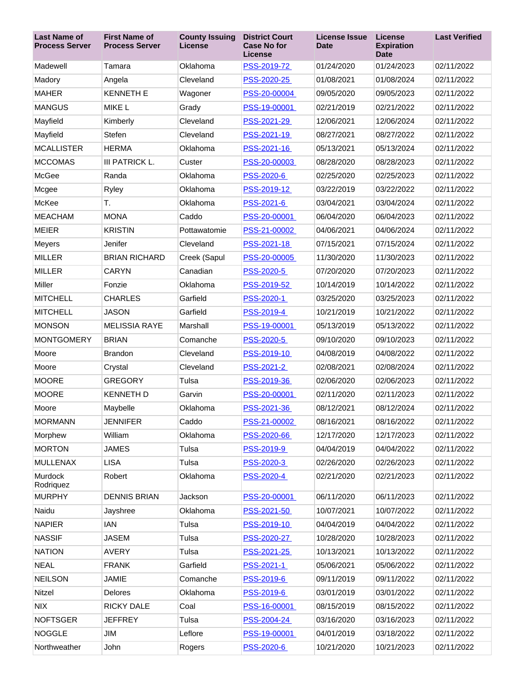| <b>Last Name of</b><br><b>Process Server</b> | <b>First Name of</b><br><b>Process Server</b> | <b>County Issuing</b><br>License | <b>District Court</b><br><b>Case No for</b><br>License | <b>License Issue</b><br>Date | <b>License</b><br><b>Expiration</b><br><b>Date</b> | <b>Last Verified</b> |
|----------------------------------------------|-----------------------------------------------|----------------------------------|--------------------------------------------------------|------------------------------|----------------------------------------------------|----------------------|
| Madewell                                     | Tamara                                        | Oklahoma                         | PSS-2019-72                                            | 01/24/2020                   | 01/24/2023                                         | 02/11/2022           |
| Madory                                       | Angela                                        | Cleveland                        | PSS-2020-25                                            | 01/08/2021                   | 01/08/2024                                         | 02/11/2022           |
| <b>MAHER</b>                                 | <b>KENNETH E</b>                              | Wagoner                          | PSS-20-00004                                           | 09/05/2020                   | 09/05/2023                                         | 02/11/2022           |
| <b>MANGUS</b>                                | <b>MIKE L</b>                                 | Grady                            | PSS-19-00001                                           | 02/21/2019                   | 02/21/2022                                         | 02/11/2022           |
| Mayfield                                     | Kimberly                                      | Cleveland                        | PSS-2021-29                                            | 12/06/2021                   | 12/06/2024                                         | 02/11/2022           |
| Mayfield                                     | Stefen                                        | Cleveland                        | PSS-2021-19                                            | 08/27/2021                   | 08/27/2022                                         | 02/11/2022           |
| <b>MCALLISTER</b>                            | <b>HERMA</b>                                  | Oklahoma                         | PSS-2021-16                                            | 05/13/2021                   | 05/13/2024                                         | 02/11/2022           |
| <b>MCCOMAS</b>                               | III PATRICK L.                                | Custer                           | PSS-20-00003                                           | 08/28/2020                   | 08/28/2023                                         | 02/11/2022           |
| McGee                                        | Randa                                         | Oklahoma                         | PSS-2020-6                                             | 02/25/2020                   | 02/25/2023                                         | 02/11/2022           |
| Mcgee                                        | Ryley                                         | Oklahoma                         | PSS-2019-12                                            | 03/22/2019                   | 03/22/2022                                         | 02/11/2022           |
| McKee                                        | Т.                                            | Oklahoma                         | PSS-2021-6                                             | 03/04/2021                   | 03/04/2024                                         | 02/11/2022           |
| <b>MEACHAM</b>                               | <b>MONA</b>                                   | Caddo                            | PSS-20-00001                                           | 06/04/2020                   | 06/04/2023                                         | 02/11/2022           |
| <b>MEIER</b>                                 | <b>KRISTIN</b>                                | Pottawatomie                     | PSS-21-00002                                           | 04/06/2021                   | 04/06/2024                                         | 02/11/2022           |
| Meyers                                       | Jenifer                                       | Cleveland                        | PSS-2021-18                                            | 07/15/2021                   | 07/15/2024                                         | 02/11/2022           |
| <b>MILLER</b>                                | <b>BRIAN RICHARD</b>                          | Creek (Sapul                     | PSS-20-00005                                           | 11/30/2020                   | 11/30/2023                                         | 02/11/2022           |
| <b>MILLER</b>                                | <b>CARYN</b>                                  | Canadian                         | PSS-2020-5                                             | 07/20/2020                   | 07/20/2023                                         | 02/11/2022           |
| <b>Miller</b>                                | Fonzie                                        | Oklahoma                         | PSS-2019-52                                            | 10/14/2019                   | 10/14/2022                                         | 02/11/2022           |
| <b>MITCHELL</b>                              | <b>CHARLES</b>                                | Garfield                         | PSS-2020-1                                             | 03/25/2020                   | 03/25/2023                                         | 02/11/2022           |
| <b>MITCHELL</b>                              | <b>JASON</b>                                  | Garfield                         | PSS-2019-4                                             | 10/21/2019                   | 10/21/2022                                         | 02/11/2022           |
| <b>MONSON</b>                                | <b>MELISSIA RAYE</b>                          | Marshall                         | PSS-19-00001                                           | 05/13/2019                   | 05/13/2022                                         | 02/11/2022           |
| <b>MONTGOMERY</b>                            | <b>BRIAN</b>                                  | Comanche                         | PSS-2020-5                                             | 09/10/2020                   | 09/10/2023                                         | 02/11/2022           |
| Moore                                        | <b>Brandon</b>                                | Cleveland                        | PSS-2019-10                                            | 04/08/2019                   | 04/08/2022                                         | 02/11/2022           |
| Moore                                        | Crystal                                       | Cleveland                        | PSS-2021-2                                             | 02/08/2021                   | 02/08/2024                                         | 02/11/2022           |
| <b>MOORE</b>                                 | <b>GREGORY</b>                                | Tulsa                            | PSS-2019-36                                            | 02/06/2020                   | 02/06/2023                                         | 02/11/2022           |
| <b>MOORE</b>                                 | <b>KENNETH D</b>                              | Garvin                           | PSS-20-00001                                           | 02/11/2020                   | 02/11/2023                                         | 02/11/2022           |
| Moore                                        | Maybelle                                      | Oklahoma                         | PSS-2021-36                                            | 08/12/2021                   | 08/12/2024                                         | 02/11/2022           |
| <b>MORMANN</b>                               | <b>JENNIFER</b>                               | Caddo                            | PSS-21-00002                                           | 08/16/2021                   | 08/16/2022                                         | 02/11/2022           |
| Morphew                                      | William                                       | Oklahoma                         | PSS-2020-66                                            | 12/17/2020                   | 12/17/2023                                         | 02/11/2022           |
| <b>MORTON</b>                                | <b>JAMES</b>                                  | Tulsa                            | PSS-2019-9                                             | 04/04/2019                   | 04/04/2022                                         | 02/11/2022           |
| <b>MULLENAX</b>                              | <b>LISA</b>                                   | Tulsa                            | PSS-2020-3                                             | 02/26/2020                   | 02/26/2023                                         | 02/11/2022           |
| Murdock<br>Rodriquez                         | Robert                                        | Oklahoma                         | PSS-2020-4                                             | 02/21/2020                   | 02/21/2023                                         | 02/11/2022           |
| <b>MURPHY</b>                                | <b>DENNIS BRIAN</b>                           | Jackson                          | PSS-20-00001                                           | 06/11/2020                   | 06/11/2023                                         | 02/11/2022           |
| Naidu                                        | Jayshree                                      | Oklahoma                         | PSS-2021-50                                            | 10/07/2021                   | 10/07/2022                                         | 02/11/2022           |
| <b>NAPIER</b>                                | <b>IAN</b>                                    | Tulsa                            | PSS-2019-10                                            | 04/04/2019                   | 04/04/2022                                         | 02/11/2022           |
| <b>NASSIF</b>                                | <b>JASEM</b>                                  | Tulsa                            | PSS-2020-27                                            | 10/28/2020                   | 10/28/2023                                         | 02/11/2022           |
| <b>NATION</b>                                | <b>AVERY</b>                                  | Tulsa                            | PSS-2021-25                                            | 10/13/2021                   | 10/13/2022                                         | 02/11/2022           |
| <b>NEAL</b>                                  | <b>FRANK</b>                                  | Garfield                         | PSS-2021-1                                             | 05/06/2021                   | 05/06/2022                                         | 02/11/2022           |
| <b>NEILSON</b>                               | <b>JAMIE</b>                                  | Comanche                         | PSS-2019-6                                             | 09/11/2019                   | 09/11/2022                                         | 02/11/2022           |
| Nitzel                                       | Delores                                       | Oklahoma                         | PSS-2019-6                                             | 03/01/2019                   | 03/01/2022                                         | 02/11/2022           |
| <b>NIX</b>                                   | <b>RICKY DALE</b>                             | Coal                             | PSS-16-00001                                           | 08/15/2019                   | 08/15/2022                                         | 02/11/2022           |
| <b>NOFTSGER</b>                              | <b>JEFFREY</b>                                | Tulsa                            | PSS-2004-24                                            | 03/16/2020                   | 03/16/2023                                         | 02/11/2022           |
| <b>NOGGLE</b>                                | JIM                                           | Leflore                          | PSS-19-00001                                           | 04/01/2019                   | 03/18/2022                                         | 02/11/2022           |
| Northweather                                 | John                                          | Rogers                           | PSS-2020-6                                             | 10/21/2020                   | 10/21/2023                                         | 02/11/2022           |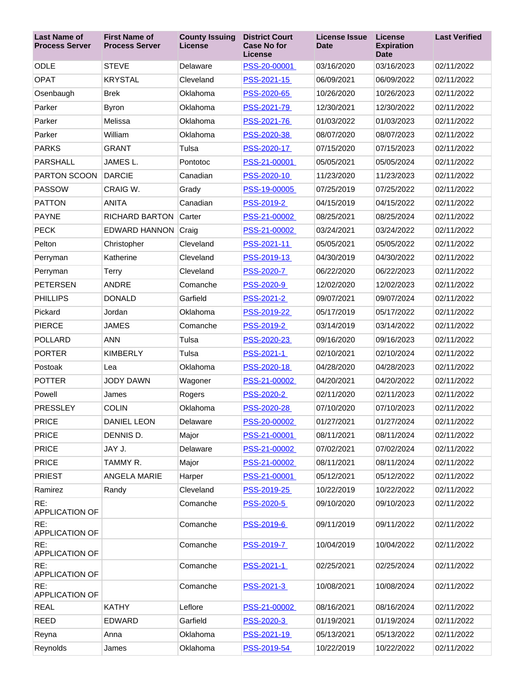| <b>Last Name of</b><br><b>Process Server</b> | <b>First Name of</b><br><b>Process Server</b> | <b>County Issuing</b><br><b>License</b> | <b>District Court</b><br><b>Case No for</b><br>License | <b>License Issue</b><br><b>Date</b> | <b>License</b><br><b>Expiration</b><br><b>Date</b> | <b>Last Verified</b> |
|----------------------------------------------|-----------------------------------------------|-----------------------------------------|--------------------------------------------------------|-------------------------------------|----------------------------------------------------|----------------------|
| <b>ODLE</b>                                  | <b>STEVE</b>                                  | Delaware                                | PSS-20-00001                                           | 03/16/2020                          | 03/16/2023                                         | 02/11/2022           |
| <b>OPAT</b>                                  | <b>KRYSTAL</b>                                | Cleveland                               | PSS-2021-15                                            | 06/09/2021                          | 06/09/2022                                         | 02/11/2022           |
| Osenbaugh                                    | <b>Brek</b>                                   | Oklahoma                                | PSS-2020-65                                            | 10/26/2020                          | 10/26/2023                                         | 02/11/2022           |
| Parker                                       | Byron                                         | Oklahoma                                | PSS-2021-79                                            | 12/30/2021                          | 12/30/2022                                         | 02/11/2022           |
| Parker                                       | Melissa                                       | Oklahoma                                | PSS-2021-76                                            | 01/03/2022                          | 01/03/2023                                         | 02/11/2022           |
| Parker                                       | William                                       | Oklahoma                                | PSS-2020-38                                            | 08/07/2020                          | 08/07/2023                                         | 02/11/2022           |
| <b>PARKS</b>                                 | <b>GRANT</b>                                  | Tulsa                                   | PSS-2020-17                                            | 07/15/2020                          | 07/15/2023                                         | 02/11/2022           |
| <b>PARSHALL</b>                              | JAMES <sub>L.</sub>                           | Pontotoc                                | PSS-21-00001                                           | 05/05/2021                          | 05/05/2024                                         | 02/11/2022           |
| PARTON SCOON                                 | <b>DARCIE</b>                                 | Canadian                                | PSS-2020-10                                            | 11/23/2020                          | 11/23/2023                                         | 02/11/2022           |
| <b>PASSOW</b>                                | CRAIG W.                                      | Grady                                   | PSS-19-00005                                           | 07/25/2019                          | 07/25/2022                                         | 02/11/2022           |
| <b>PATTON</b>                                | <b>ANITA</b>                                  | Canadian                                | PSS-2019-2                                             | 04/15/2019                          | 04/15/2022                                         | 02/11/2022           |
| <b>PAYNE</b>                                 | <b>RICHARD BARTON</b>                         | Carter                                  | PSS-21-00002                                           | 08/25/2021                          | 08/25/2024                                         | 02/11/2022           |
| <b>PECK</b>                                  | <b>EDWARD HANNON Craig</b>                    |                                         | PSS-21-00002                                           | 03/24/2021                          | 03/24/2022                                         | 02/11/2022           |
| Pelton                                       | Christopher                                   | Cleveland                               | PSS-2021-11                                            | 05/05/2021                          | 05/05/2022                                         | 02/11/2022           |
| Perryman                                     | Katherine                                     | Cleveland                               | PSS-2019-13                                            | 04/30/2019                          | 04/30/2022                                         | 02/11/2022           |
| Perryman                                     | Terry                                         | Cleveland                               | PSS-2020-7                                             | 06/22/2020                          | 06/22/2023                                         | 02/11/2022           |
| PETERSEN                                     | <b>ANDRE</b>                                  | Comanche                                | <u>PSS-2020-9</u>                                      | 12/02/2020                          | 12/02/2023                                         | 02/11/2022           |
| <b>PHILLIPS</b>                              | <b>DONALD</b>                                 | Garfield                                | PSS-2021-2                                             | 09/07/2021                          | 09/07/2024                                         | 02/11/2022           |
| Pickard                                      | Jordan                                        | Oklahoma                                | PSS-2019-22                                            | 05/17/2019                          | 05/17/2022                                         | 02/11/2022           |
| <b>PIERCE</b>                                | <b>JAMES</b>                                  | Comanche                                | PSS-2019-2                                             | 03/14/2019                          | 03/14/2022                                         | 02/11/2022           |
| <b>POLLARD</b>                               | <b>ANN</b>                                    | Tulsa                                   | PSS-2020-23                                            | 09/16/2020                          | 09/16/2023                                         | 02/11/2022           |
| <b>PORTER</b>                                | <b>KIMBERLY</b>                               | Tulsa                                   | PSS-2021-1                                             | 02/10/2021                          | 02/10/2024                                         | 02/11/2022           |
| Postoak                                      | Lea                                           | Oklahoma                                | PSS-2020-18                                            | 04/28/2020                          | 04/28/2023                                         | 02/11/2022           |
| <b>POTTER</b>                                | <b>JODY DAWN</b>                              | Wagoner                                 | PSS-21-00002                                           | 04/20/2021                          | 04/20/2022                                         | 02/11/2022           |
| Powell                                       | James                                         | Rogers                                  | PSS-2020-2                                             | 02/11/2020                          | 02/11/2023                                         | 02/11/2022           |
| <b>PRESSLEY</b>                              | <b>COLIN</b>                                  | Oklahoma                                | PSS-2020-28                                            | 07/10/2020                          | 07/10/2023                                         | 02/11/2022           |
| <b>PRICE</b>                                 | <b>DANIEL LEON</b>                            | Delaware                                | PSS-20-00002                                           | 01/27/2021                          | 01/27/2024                                         | 02/11/2022           |
| <b>PRICE</b>                                 | DENNIS D.                                     | Major                                   | PSS-21-00001                                           | 08/11/2021                          | 08/11/2024                                         | 02/11/2022           |
| <b>PRICE</b>                                 | JAY J.                                        | Delaware                                | PSS-21-00002                                           | 07/02/2021                          | 07/02/2024                                         | 02/11/2022           |
| <b>PRICE</b>                                 | TAMMY R.                                      | Major                                   | PSS-21-00002                                           | 08/11/2021                          | 08/11/2024                                         | 02/11/2022           |
| <b>PRIEST</b>                                | <b>ANGELA MARIE</b>                           | Harper                                  | PSS-21-00001                                           | 05/12/2021                          | 05/12/2022                                         | 02/11/2022           |
| Ramirez                                      | Randy                                         | Cleveland                               | PSS-2019-25                                            | 10/22/2019                          | 10/22/2022                                         | 02/11/2022           |
| RE:<br>APPLICATION OF                        |                                               | Comanche                                | PSS-2020-5                                             | 09/10/2020                          | 09/10/2023                                         | 02/11/2022           |
| RE:<br><b>APPLICATION OF</b>                 |                                               | Comanche                                | PSS-2019-6                                             | 09/11/2019                          | 09/11/2022                                         | 02/11/2022           |
| RE:<br>APPLICATION OF                        |                                               | Comanche                                | PSS-2019-7                                             | 10/04/2019                          | 10/04/2022                                         | 02/11/2022           |
| RE:<br><b>APPLICATION OF</b>                 |                                               | Comanche                                | PSS-2021-1                                             | 02/25/2021                          | 02/25/2024                                         | 02/11/2022           |
| RE:<br>APPLICATION OF                        |                                               | Comanche                                | <u>PSS-2021-3</u>                                      | 10/08/2021                          | 10/08/2024                                         | 02/11/2022           |
| <b>REAL</b>                                  | <b>KATHY</b>                                  | Leflore                                 | PSS-21-00002                                           | 08/16/2021                          | 08/16/2024                                         | 02/11/2022           |
| <b>REED</b>                                  | <b>EDWARD</b>                                 | Garfield                                | PSS-2020-3                                             | 01/19/2021                          | 01/19/2024                                         | 02/11/2022           |
| Reyna                                        | Anna                                          | Oklahoma                                | PSS-2021-19                                            | 05/13/2021                          | 05/13/2022                                         | 02/11/2022           |
| Reynolds                                     | James                                         | Oklahoma                                | PSS-2019-54                                            | 10/22/2019                          | 10/22/2022                                         | 02/11/2022           |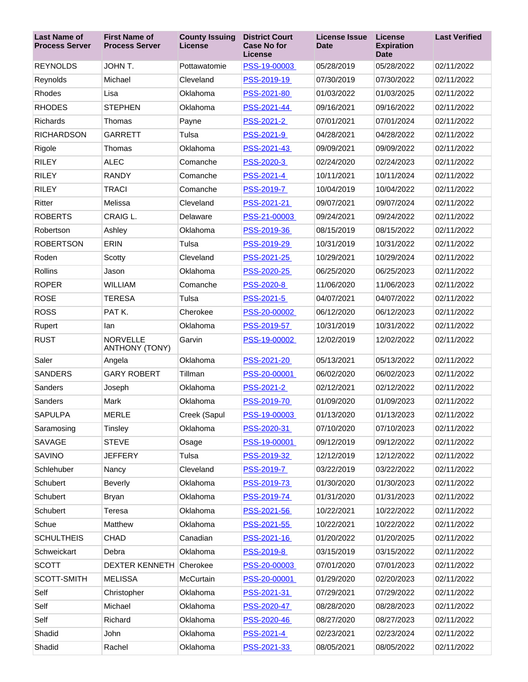| <b>Last Name of</b><br><b>Process Server</b> | <b>First Name of</b><br><b>Process Server</b> | <b>County Issuing</b><br>License | <b>District Court</b><br><b>Case No for</b><br><b>License</b> | <b>License Issue</b><br><b>Date</b> | <b>License</b><br><b>Expiration</b><br><b>Date</b> | <b>Last Verified</b> |
|----------------------------------------------|-----------------------------------------------|----------------------------------|---------------------------------------------------------------|-------------------------------------|----------------------------------------------------|----------------------|
| <b>REYNOLDS</b>                              | JOHN T.                                       | Pottawatomie                     | PSS-19-00003                                                  | 05/28/2019                          | 05/28/2022                                         | 02/11/2022           |
| Reynolds                                     | Michael                                       | Cleveland                        | PSS-2019-19                                                   | 07/30/2019                          | 07/30/2022                                         | 02/11/2022           |
| Rhodes                                       | Lisa                                          | Oklahoma                         | PSS-2021-80                                                   | 01/03/2022                          | 01/03/2025                                         | 02/11/2022           |
| <b>RHODES</b>                                | <b>STEPHEN</b>                                | Oklahoma                         | PSS-2021-44                                                   | 09/16/2021                          | 09/16/2022                                         | 02/11/2022           |
| <b>Richards</b>                              | Thomas                                        | Payne                            | PSS-2021-2                                                    | 07/01/2021                          | 07/01/2024                                         | 02/11/2022           |
| <b>RICHARDSON</b>                            | <b>GARRETT</b>                                | Tulsa                            | PSS-2021-9                                                    | 04/28/2021                          | 04/28/2022                                         | 02/11/2022           |
| Rigole                                       | Thomas                                        | Oklahoma                         | PSS-2021-43                                                   | 09/09/2021                          | 09/09/2022                                         | 02/11/2022           |
| <b>RILEY</b>                                 | <b>ALEC</b>                                   | Comanche                         | PSS-2020-3                                                    | 02/24/2020                          | 02/24/2023                                         | 02/11/2022           |
| <b>RILEY</b>                                 | <b>RANDY</b>                                  | Comanche                         | PSS-2021-4                                                    | 10/11/2021                          | 10/11/2024                                         | 02/11/2022           |
| <b>RILEY</b>                                 | <b>TRACI</b>                                  | Comanche                         | PSS-2019-7                                                    | 10/04/2019                          | 10/04/2022                                         | 02/11/2022           |
| Ritter                                       | Melissa                                       | Cleveland                        | PSS-2021-21                                                   | 09/07/2021                          | 09/07/2024                                         | 02/11/2022           |
| <b>ROBERTS</b>                               | CRAIG L.                                      | Delaware                         | PSS-21-00003                                                  | 09/24/2021                          | 09/24/2022                                         | 02/11/2022           |
| Robertson                                    | Ashley                                        | Oklahoma                         | PSS-2019-36                                                   | 08/15/2019                          | 08/15/2022                                         | 02/11/2022           |
| <b>ROBERTSON</b>                             | <b>ERIN</b>                                   | Tulsa                            | PSS-2019-29                                                   | 10/31/2019                          | 10/31/2022                                         | 02/11/2022           |
| Roden                                        | Scotty                                        | Cleveland                        | PSS-2021-25                                                   | 10/29/2021                          | 10/29/2024                                         | 02/11/2022           |
| Rollins                                      | Jason                                         | Oklahoma                         | PSS-2020-25                                                   | 06/25/2020                          | 06/25/2023                                         | 02/11/2022           |
| <b>ROPER</b>                                 | <b>WILLIAM</b>                                | Comanche                         | PSS-2020-8                                                    | 11/06/2020                          | 11/06/2023                                         | 02/11/2022           |
| <b>ROSE</b>                                  | <b>TERESA</b>                                 | Tulsa                            | PSS-2021-5                                                    | 04/07/2021                          | 04/07/2022                                         | 02/11/2022           |
| <b>ROSS</b>                                  | PAT <sub>K</sub>                              | Cherokee                         | PSS-20-00002                                                  | 06/12/2020                          | 06/12/2023                                         | 02/11/2022           |
| Rupert                                       | lan                                           | Oklahoma                         | PSS-2019-57                                                   | 10/31/2019                          | 10/31/2022                                         | 02/11/2022           |
| <b>RUST</b>                                  | <b>NORVELLE</b><br><b>ANTHONY (TONY)</b>      | Garvin                           | PSS-19-00002                                                  | 12/02/2019                          | 12/02/2022                                         | 02/11/2022           |
| Saler                                        | Angela                                        | Oklahoma                         | PSS-2021-20                                                   | 05/13/2021                          | 05/13/2022                                         | 02/11/2022           |
| <b>SANDERS</b>                               | <b>GARY ROBERT</b>                            | Tillman                          | PSS-20-00001                                                  | 06/02/2020                          | 06/02/2023                                         | 02/11/2022           |
| Sanders                                      | Joseph                                        | Oklahoma                         | PSS-2021-2                                                    | 02/12/2021                          | 02/12/2022                                         | 02/11/2022           |
| Sanders                                      | Mark                                          | Oklahoma                         | PSS-2019-70                                                   | 01/09/2020                          | 01/09/2023                                         | 02/11/2022           |
| SAPULPA                                      | <b>MERLE</b>                                  | Creek (Sapul                     | PSS-19-00003                                                  | 01/13/2020                          | 01/13/2023                                         | 02/11/2022           |
| Saramosing                                   | Tinsley                                       | Oklahoma                         | PSS-2020-31                                                   | 07/10/2020                          | 07/10/2023                                         | 02/11/2022           |
| <b>SAVAGE</b>                                | <b>STEVE</b>                                  | Osage                            | PSS-19-00001                                                  | 09/12/2019                          | 09/12/2022                                         | 02/11/2022           |
| <b>SAVINO</b>                                | <b>JEFFERY</b>                                | Tulsa                            | PSS-2019-32                                                   | 12/12/2019                          | 12/12/2022                                         | 02/11/2022           |
| Schlehuber                                   | Nancy                                         | Cleveland                        | PSS-2019-7                                                    | 03/22/2019                          | 03/22/2022                                         | 02/11/2022           |
| Schubert                                     | Beverly                                       | Oklahoma                         | PSS-2019-73                                                   | 01/30/2020                          | 01/30/2023                                         | 02/11/2022           |
| Schubert                                     | <b>Bryan</b>                                  | Oklahoma                         | PSS-2019-74                                                   | 01/31/2020                          | 01/31/2023                                         | 02/11/2022           |
| Schubert                                     | Teresa                                        | Oklahoma                         | PSS-2021-56                                                   | 10/22/2021                          | 10/22/2022                                         | 02/11/2022           |
| Schue                                        | Matthew                                       | Oklahoma                         | PSS-2021-55                                                   | 10/22/2021                          | 10/22/2022                                         | 02/11/2022           |
| <b>SCHULTHEIS</b>                            | <b>CHAD</b>                                   | Canadian                         | PSS-2021-16                                                   | 01/20/2022                          | 01/20/2025                                         | 02/11/2022           |
| Schweickart                                  | Debra                                         | Oklahoma                         | PSS-2019-8                                                    | 03/15/2019                          | 03/15/2022                                         | 02/11/2022           |
| <b>SCOTT</b>                                 | <b>DEXTER KENNETH</b>                         | Cherokee                         | PSS-20-00003                                                  | 07/01/2020                          | 07/01/2023                                         | 02/11/2022           |
| SCOTT-SMITH                                  | <b>MELISSA</b>                                | McCurtain                        | PSS-20-00001                                                  | 01/29/2020                          | 02/20/2023                                         | 02/11/2022           |
| Self                                         | Christopher                                   | Oklahoma                         | PSS-2021-31                                                   | 07/29/2021                          | 07/29/2022                                         | 02/11/2022           |
| Self                                         | Michael                                       | Oklahoma                         | PSS-2020-47                                                   | 08/28/2020                          | 08/28/2023                                         | 02/11/2022           |
| Self                                         | Richard                                       | Oklahoma                         | PSS-2020-46                                                   | 08/27/2020                          | 08/27/2023                                         | 02/11/2022           |
| Shadid                                       | John                                          | Oklahoma                         | PSS-2021-4                                                    | 02/23/2021                          | 02/23/2024                                         | 02/11/2022           |
| Shadid                                       | Rachel                                        | Oklahoma                         | PSS-2021-33                                                   | 08/05/2021                          | 08/05/2022                                         | 02/11/2022           |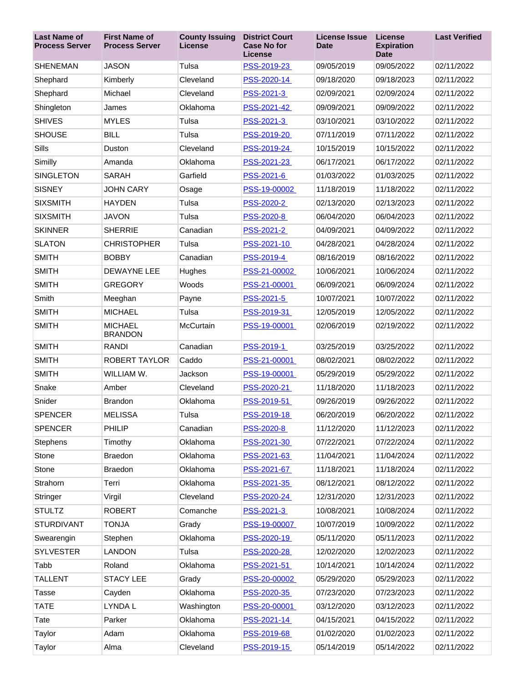| <b>Last Name of</b><br><b>Process Server</b> | <b>First Name of</b><br><b>Process Server</b> | <b>County Issuing</b><br>License | <b>District Court</b><br><b>Case No for</b><br><b>License</b> | <b>License Issue</b><br><b>Date</b> | <b>License</b><br><b>Expiration</b><br><b>Date</b> | <b>Last Verified</b> |
|----------------------------------------------|-----------------------------------------------|----------------------------------|---------------------------------------------------------------|-------------------------------------|----------------------------------------------------|----------------------|
| <b>SHENEMAN</b>                              | <b>JASON</b>                                  | Tulsa                            | PSS-2019-23                                                   | 09/05/2019                          | 09/05/2022                                         | 02/11/2022           |
| Shephard                                     | Kimberly                                      | Cleveland                        | PSS-2020-14                                                   | 09/18/2020                          | 09/18/2023                                         | 02/11/2022           |
| Shephard                                     | Michael                                       | Cleveland                        | PSS-2021-3                                                    | 02/09/2021                          | 02/09/2024                                         | 02/11/2022           |
| Shingleton                                   | James                                         | Oklahoma                         | PSS-2021-42                                                   | 09/09/2021                          | 09/09/2022                                         | 02/11/2022           |
| <b>SHIVES</b>                                | <b>MYLES</b>                                  | Tulsa                            | PSS-2021-3                                                    | 03/10/2021                          | 03/10/2022                                         | 02/11/2022           |
| <b>SHOUSE</b>                                | <b>BILL</b>                                   | Tulsa                            | PSS-2019-20                                                   | 07/11/2019                          | 07/11/2022                                         | 02/11/2022           |
| Sills                                        | Duston                                        | Cleveland                        | PSS-2019-24                                                   | 10/15/2019                          | 10/15/2022                                         | 02/11/2022           |
| Similly                                      | Amanda                                        | Oklahoma                         | PSS-2021-23                                                   | 06/17/2021                          | 06/17/2022                                         | 02/11/2022           |
| <b>SINGLETON</b>                             | <b>SARAH</b>                                  | Garfield                         | PSS-2021-6                                                    | 01/03/2022                          | 01/03/2025                                         | 02/11/2022           |
| <b>SISNEY</b>                                | <b>JOHN CARY</b>                              | Osage                            | PSS-19-00002                                                  | 11/18/2019                          | 11/18/2022                                         | 02/11/2022           |
| <b>SIXSMITH</b>                              | <b>HAYDEN</b>                                 | Tulsa                            | PSS-2020-2                                                    | 02/13/2020                          | 02/13/2023                                         | 02/11/2022           |
| <b>SIXSMITH</b>                              | <b>JAVON</b>                                  | Tulsa                            | PSS-2020-8                                                    | 06/04/2020                          | 06/04/2023                                         | 02/11/2022           |
| <b>SKINNER</b>                               | <b>SHERRIE</b>                                | Canadian                         | PSS-2021-2                                                    | 04/09/2021                          | 04/09/2022                                         | 02/11/2022           |
| <b>SLATON</b>                                | <b>CHRISTOPHER</b>                            | Tulsa                            | PSS-2021-10                                                   | 04/28/2021                          | 04/28/2024                                         | 02/11/2022           |
| <b>SMITH</b>                                 | <b>BOBBY</b>                                  | Canadian                         | PSS-2019-4                                                    | 08/16/2019                          | 08/16/2022                                         | 02/11/2022           |
| <b>SMITH</b>                                 | <b>DEWAYNE LEE</b>                            | Hughes                           | PSS-21-00002                                                  | 10/06/2021                          | 10/06/2024                                         | 02/11/2022           |
| <b>SMITH</b>                                 | <b>GREGORY</b>                                | Woods                            | PSS-21-00001                                                  | 06/09/2021                          | 06/09/2024                                         | 02/11/2022           |
| Smith                                        | Meeghan                                       | Payne                            | PSS-2021-5                                                    | 10/07/2021                          | 10/07/2022                                         | 02/11/2022           |
| <b>SMITH</b>                                 | <b>MICHAEL</b>                                | Tulsa                            | PSS-2019-31                                                   | 12/05/2019                          | 12/05/2022                                         | 02/11/2022           |
| <b>SMITH</b>                                 | <b>MICHAEL</b><br><b>BRANDON</b>              | McCurtain                        | PSS-19-00001                                                  | 02/06/2019                          | 02/19/2022                                         | 02/11/2022           |
| <b>SMITH</b>                                 | <b>RANDI</b>                                  | Canadian                         | PSS-2019-1                                                    | 03/25/2019                          | 03/25/2022                                         | 02/11/2022           |
| <b>SMITH</b>                                 | ROBERT TAYLOR                                 | Caddo                            | PSS-21-00001                                                  | 08/02/2021                          | 08/02/2022                                         | 02/11/2022           |
| <b>SMITH</b>                                 | WILLIAM W.                                    | Jackson                          | PSS-19-00001                                                  | 05/29/2019                          | 05/29/2022                                         | 02/11/2022           |
| Snake                                        | Amber                                         | Cleveland                        | PSS-2020-21                                                   | 11/18/2020                          | 11/18/2023                                         | 02/11/2022           |
| Snider                                       | <b>Brandon</b>                                | Oklahoma                         | PSS-2019-51                                                   | 09/26/2019                          | 09/26/2022                                         | 02/11/2022           |
| <b>SPENCER</b>                               | <b>MELISSA</b>                                | Tulsa                            | PSS-2019-18                                                   | 06/20/2019                          | 06/20/2022                                         | 02/11/2022           |
| <b>SPENCER</b>                               | <b>PHILIP</b>                                 | Canadian                         | PSS-2020-8                                                    | 11/12/2020                          | 11/12/2023                                         | 02/11/2022           |
| <b>Stephens</b>                              | Timothy                                       | Oklahoma                         | PSS-2021-30                                                   | 07/22/2021                          | 07/22/2024                                         | 02/11/2022           |
| Stone                                        | <b>Braedon</b>                                | Oklahoma                         | PSS-2021-63                                                   | 11/04/2021                          | 11/04/2024                                         | 02/11/2022           |
| Stone                                        | Braedon                                       | Oklahoma                         | PSS-2021-67                                                   | 11/18/2021                          | 11/18/2024                                         | 02/11/2022           |
| Strahorn                                     | Terri                                         | Oklahoma                         | PSS-2021-35                                                   | 08/12/2021                          | 08/12/2022                                         | 02/11/2022           |
| Stringer                                     | Virgil                                        | Cleveland                        | PSS-2020-24                                                   | 12/31/2020                          | 12/31/2023                                         | 02/11/2022           |
| <b>STULTZ</b>                                | <b>ROBERT</b>                                 | Comanche                         | PSS-2021-3                                                    | 10/08/2021                          | 10/08/2024                                         | 02/11/2022           |
| <b>STURDIVANT</b>                            | <b>TONJA</b>                                  | Grady                            | PSS-19-00007                                                  | 10/07/2019                          | 10/09/2022                                         | 02/11/2022           |
| Swearengin                                   | Stephen                                       | Oklahoma                         | PSS-2020-19                                                   | 05/11/2020                          | 05/11/2023                                         | 02/11/2022           |
| <b>SYLVESTER</b>                             | <b>LANDON</b>                                 | Tulsa                            | PSS-2020-28                                                   | 12/02/2020                          | 12/02/2023                                         | 02/11/2022           |
| Tabb                                         | Roland                                        | Oklahoma                         | PSS-2021-51                                                   | 10/14/2021                          | 10/14/2024                                         | 02/11/2022           |
| <b>TALLENT</b>                               | STACY LEE                                     | Grady                            | PSS-20-00002                                                  | 05/29/2020                          | 05/29/2023                                         | 02/11/2022           |
| <b>Tasse</b>                                 | Cayden                                        | Oklahoma                         | PSS-2020-35                                                   | 07/23/2020                          | 07/23/2023                                         | 02/11/2022           |
| <b>TATE</b>                                  | LYNDA L                                       | Washington                       | PSS-20-00001                                                  | 03/12/2020                          | 03/12/2023                                         | 02/11/2022           |
| Tate                                         | Parker                                        | Oklahoma                         | PSS-2021-14                                                   | 04/15/2021                          | 04/15/2022                                         | 02/11/2022           |
| Taylor                                       | Adam                                          | Oklahoma                         | PSS-2019-68                                                   | 01/02/2020                          | 01/02/2023                                         | 02/11/2022           |
| Taylor                                       | Alma                                          | Cleveland                        | PSS-2019-15                                                   | 05/14/2019                          | 05/14/2022                                         | 02/11/2022           |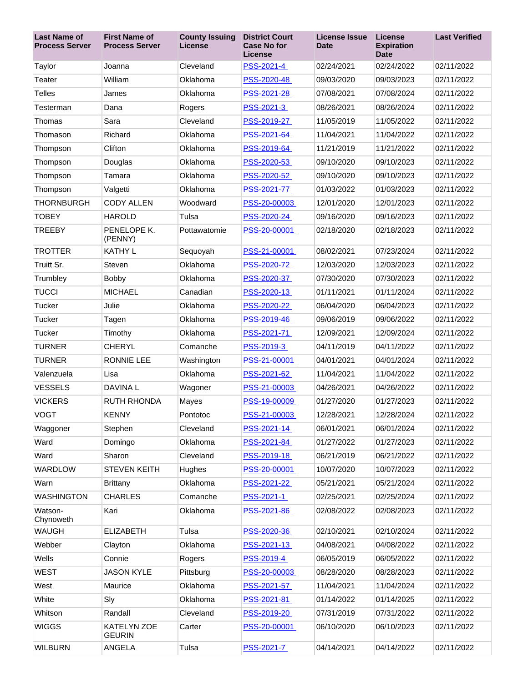| <b>Last Name of</b><br><b>Process Server</b> | <b>First Name of</b><br><b>Process Server</b> | <b>County Issuing</b><br><b>License</b> | <b>District Court</b><br><b>Case No for</b><br><b>License</b> | <b>License Issue</b><br><b>Date</b> | <b>License</b><br><b>Expiration</b><br><b>Date</b> | <b>Last Verified</b> |
|----------------------------------------------|-----------------------------------------------|-----------------------------------------|---------------------------------------------------------------|-------------------------------------|----------------------------------------------------|----------------------|
| Taylor                                       | Joanna                                        | Cleveland                               | PSS-2021-4                                                    | 02/24/2021                          | 02/24/2022                                         | 02/11/2022           |
| Teater                                       | William                                       | Oklahoma                                | PSS-2020-48                                                   | 09/03/2020                          | 09/03/2023                                         | 02/11/2022           |
| <b>Telles</b>                                | James                                         | Oklahoma                                | PSS-2021-28                                                   | 07/08/2021                          | 07/08/2024                                         | 02/11/2022           |
| Testerman                                    | Dana                                          | Rogers                                  | PSS-2021-3                                                    | 08/26/2021                          | 08/26/2024                                         | 02/11/2022           |
| Thomas                                       | Sara                                          | Cleveland                               | PSS-2019-27                                                   | 11/05/2019                          | 11/05/2022                                         | 02/11/2022           |
| Thomason                                     | Richard                                       | Oklahoma                                | PSS-2021-64                                                   | 11/04/2021                          | 11/04/2022                                         | 02/11/2022           |
| Thompson                                     | Clifton                                       | Oklahoma                                | PSS-2019-64                                                   | 11/21/2019                          | 11/21/2022                                         | 02/11/2022           |
| Thompson                                     | Douglas                                       | Oklahoma                                | PSS-2020-53                                                   | 09/10/2020                          | 09/10/2023                                         | 02/11/2022           |
| Thompson                                     | Tamara                                        | Oklahoma                                | PSS-2020-52                                                   | 09/10/2020                          | 09/10/2023                                         | 02/11/2022           |
| Thompson                                     | Valgetti                                      | Oklahoma                                | PSS-2021-77                                                   | 01/03/2022                          | 01/03/2023                                         | 02/11/2022           |
| <b>THORNBURGH</b>                            | <b>CODY ALLEN</b>                             | Woodward                                | PSS-20-00003                                                  | 12/01/2020                          | 12/01/2023                                         | 02/11/2022           |
| <b>TOBEY</b>                                 | <b>HAROLD</b>                                 | Tulsa                                   | PSS-2020-24                                                   | 09/16/2020                          | 09/16/2023                                         | 02/11/2022           |
| <b>TREEBY</b>                                | PENELOPE K.<br>(PENNY)                        | Pottawatomie                            | PSS-20-00001                                                  | 02/18/2020                          | 02/18/2023                                         | 02/11/2022           |
| <b>TROTTER</b>                               | <b>KATHY L</b>                                | Sequoyah                                | PSS-21-00001                                                  | 08/02/2021                          | 07/23/2024                                         | 02/11/2022           |
| Truitt Sr.                                   | Steven                                        | Oklahoma                                | PSS-2020-72                                                   | 12/03/2020                          | 12/03/2023                                         | 02/11/2022           |
| Trumbley                                     | <b>Bobby</b>                                  | Oklahoma                                | PSS-2020-37                                                   | 07/30/2020                          | 07/30/2023                                         | 02/11/2022           |
| <b>TUCCI</b>                                 | <b>MICHAEL</b>                                | Canadian                                | PSS-2020-13                                                   | 01/11/2021                          | 01/11/2024                                         | 02/11/2022           |
| Tucker                                       | Julie                                         | Oklahoma                                | PSS-2020-22                                                   | 06/04/2020                          | 06/04/2023                                         | 02/11/2022           |
| Tucker                                       | Tagen                                         | Oklahoma                                | PSS-2019-46                                                   | 09/06/2019                          | 09/06/2022                                         | 02/11/2022           |
| Tucker                                       | Timothy                                       | Oklahoma                                | PSS-2021-71                                                   | 12/09/2021                          | 12/09/2024                                         | 02/11/2022           |
| <b>TURNER</b>                                | <b>CHERYL</b>                                 | Comanche                                | PSS-2019-3                                                    | 04/11/2019                          | 04/11/2022                                         | 02/11/2022           |
| <b>TURNER</b>                                | <b>RONNIE LEE</b>                             | Washington                              | PSS-21-00001                                                  | 04/01/2021                          | 04/01/2024                                         | 02/11/2022           |
| Valenzuela                                   | Lisa                                          | Oklahoma                                | PSS-2021-62                                                   | 11/04/2021                          | 11/04/2022                                         | 02/11/2022           |
| <b>VESSELS</b>                               | DAVINA L                                      | Wagoner                                 | PSS-21-00003                                                  | 04/26/2021                          | 04/26/2022                                         | 02/11/2022           |
| <b>VICKERS</b>                               | <b>RUTH RHONDA</b>                            | Mayes                                   | PSS-19-00009                                                  | 01/27/2020                          | 01/27/2023                                         | 02/11/2022           |
| <b>VOGT</b>                                  | <b>KENNY</b>                                  | Pontotoc                                | PSS-21-00003                                                  | 12/28/2021                          | 12/28/2024                                         | 02/11/2022           |
| Waggoner                                     | Stephen                                       | Cleveland                               | PSS-2021-14                                                   | 06/01/2021                          | 06/01/2024                                         | 02/11/2022           |
| Ward                                         | Domingo                                       | Oklahoma                                | PSS-2021-84                                                   | 01/27/2022                          | 01/27/2023                                         | 02/11/2022           |
| Ward                                         | Sharon                                        | Cleveland                               | PSS-2019-18                                                   | 06/21/2019                          | 06/21/2022                                         | 02/11/2022           |
| <b>WARDLOW</b>                               | <b>STEVEN KEITH</b>                           | Hughes                                  | PSS-20-00001                                                  | 10/07/2020                          | 10/07/2023                                         | 02/11/2022           |
| Warn                                         | <b>Brittany</b>                               | Oklahoma                                | PSS-2021-22                                                   | 05/21/2021                          | 05/21/2024                                         | 02/11/2022           |
| <b>WASHINGTON</b>                            | <b>CHARLES</b>                                | Comanche                                | PSS-2021-1                                                    | 02/25/2021                          | 02/25/2024                                         | 02/11/2022           |
| Watson-<br>Chynoweth                         | Kari                                          | Oklahoma                                | PSS-2021-86                                                   | 02/08/2022                          | 02/08/2023                                         | 02/11/2022           |
| <b>WAUGH</b>                                 | <b>ELIZABETH</b>                              | Tulsa                                   | PSS-2020-36                                                   | 02/10/2021                          | 02/10/2024                                         | 02/11/2022           |
| Webber                                       | Clayton                                       | Oklahoma                                | PSS-2021-13                                                   | 04/08/2021                          | 04/08/2022                                         | 02/11/2022           |
| Wells                                        | Connie                                        | Rogers                                  | PSS-2019-4                                                    | 06/05/2019                          | 06/05/2022                                         | 02/11/2022           |
| <b>WEST</b>                                  | <b>JASON KYLE</b>                             | Pittsburg                               | PSS-20-00003                                                  | 08/28/2020                          | 08/28/2023                                         | 02/11/2022           |
| West                                         | Maurice                                       | Oklahoma                                | PSS-2021-57                                                   | 11/04/2021                          | 11/04/2024                                         | 02/11/2022           |
| White                                        | Sly                                           | Oklahoma                                | PSS-2021-81                                                   | 01/14/2022                          | 01/14/2025                                         | 02/11/2022           |
| Whitson                                      | Randall                                       | Cleveland                               | PSS-2019-20                                                   | 07/31/2019                          | 07/31/2022                                         | 02/11/2022           |
| <b>WIGGS</b>                                 | KATELYN ZOE<br><b>GEURIN</b>                  | Carter                                  | PSS-20-00001                                                  | 06/10/2020                          | 06/10/2023                                         | 02/11/2022           |
| <b>WILBURN</b>                               | ANGELA                                        | Tulsa                                   | PSS-2021-7                                                    | 04/14/2021                          | 04/14/2022                                         | 02/11/2022           |